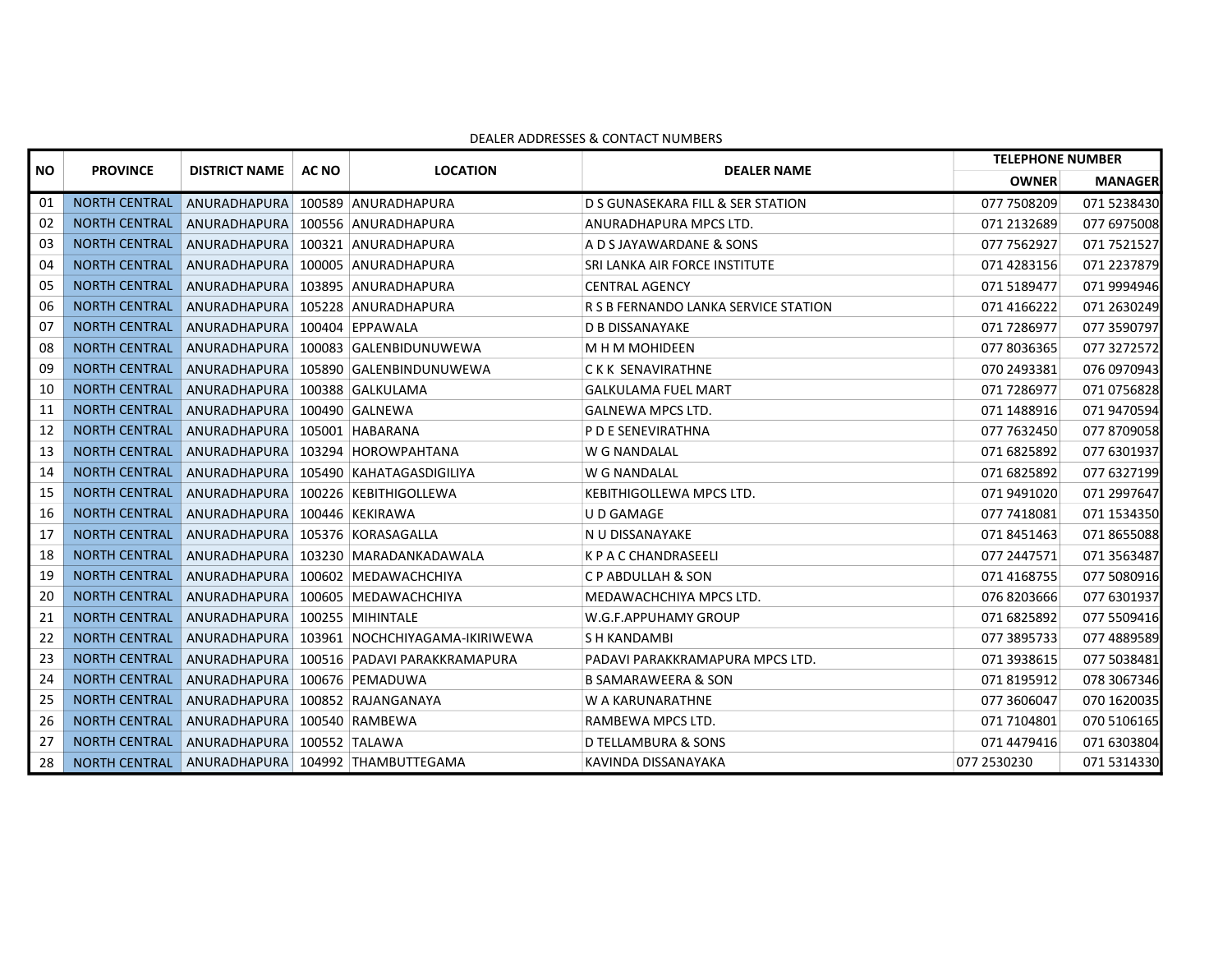|    | <b>PROVINCE</b><br><b>NO</b> | <b>DISTRICT NAME</b>                             | <b>AC NO</b> | <b>LOCATION</b>                                         | <b>DEALER NAME</b>                   | <b>TELEPHONE NUMBER</b> |                |
|----|------------------------------|--------------------------------------------------|--------------|---------------------------------------------------------|--------------------------------------|-------------------------|----------------|
|    |                              |                                                  |              |                                                         |                                      | <b>OWNER</b>            | <b>MANAGER</b> |
| 01 | <b>NORTH CENTRAL</b>         | ANURADHAPURA 100589 ANURADHAPURA                 |              |                                                         | D S GUNASEKARA FILL & SER STATION    | 077 7508209             | 071 5238430    |
| 02 |                              | NORTH CENTRAL ANURADHAPURA 100556 ANURADHAPURA   |              |                                                         | ANURADHAPURA MPCS LTD.               | 071 2132689             | 077 6975008    |
| 03 |                              | NORTH CENTRAL ANURADHAPURA 100321 ANURADHAPURA   |              |                                                         | A D S JAYAWARDANE & SONS             | 077 7562927             | 071 7521527    |
| 04 |                              | NORTH CENTRAL ANURADHAPURA 100005 ANURADHAPURA   |              |                                                         | SRI LANKA AIR FORCE INSTITUTE        | 071 4283156             | 071 2237879    |
| 05 | <b>NORTH CENTRAL</b>         | ANURADHAPURA 103895 ANURADHAPURA                 |              |                                                         | <b>CENTRAL AGENCY</b>                | 0715189477              | 071 9994946    |
| 06 |                              | NORTH CENTRAL ANURADHAPURA 105228 ANURADHAPURA   |              |                                                         | R S B FERNANDO LANKA SERVICE STATION | 071 4166222             | 071 2630249    |
| 07 |                              | NORTH CENTRAL ANURADHAPURA 100404 EPPAWALA       |              |                                                         | <b>D B DISSANAYAKE</b>               | 071 7286977             | 077 3590797    |
| 08 |                              |                                                  |              | NORTH CENTRAL ANURADHAPURA 100083 GALENBIDUNUWEWA       | M H M MOHIDEEN                       | 077 8036365             | 077 3272572    |
| 09 | <b>NORTH CENTRAL</b>         |                                                  |              | ANURADHAPURA 105890 GALENBINDUNUWEWA                    | CKK SENAVIRATHNE                     | 070 2493381             | 076 0970943    |
| 10 |                              | NORTH CENTRAL ANURADHAPURA 100388 GALKULAMA      |              |                                                         | <b>GALKULAMA FUEL MART</b>           | 071 7286977             | 071 0756828    |
| 11 |                              | NORTH CENTRAL ANURADHAPURA 100490 GALNEWA        |              |                                                         | <b>GALNEWA MPCS LTD.</b>             | 071 1488916             | 071 9470594    |
| 12 |                              | NORTH CENTRAL ANURADHAPURA 105001 HABARANA       |              |                                                         | P D E SENEVIRATHNA                   | 077 7632450             | 077 8709058    |
| 13 | <b>NORTH CENTRAL</b>         |                                                  |              | ANURADHAPURA 103294 HOROWPAHTANA                        | W G NANDALAL                         | 071 6825892             | 077 6301937    |
| 14 |                              |                                                  |              | NORTH CENTRAL ANURADHAPURA 105490 KAHATAGASDIGILIYA     | W G NANDALAL                         | 071 6825892             | 077 6327199    |
| 15 |                              | NORTH CENTRAL ANURADHAPURA 100226 KEBITHIGOLLEWA |              |                                                         | KEBITHIGOLLEWA MPCS LTD.             | 071 9491020             | 071 2997647    |
| 16 |                              | NORTH CENTRAL ANURADHAPURA 100446 KEKIRAWA       |              |                                                         | U D GAMAGE                           | 077 7418081             | 071 1534350    |
| 17 | <b>NORTH CENTRAL</b>         | ANURADHAPURA 105376 KORASAGALLA                  |              |                                                         | N U DISSANAYAKE                      | 071 8451463             | 071 8655088    |
| 18 | <b>NORTH CENTRAL</b>         |                                                  |              | ANURADHAPURA 103230 MARADANKADAWALA                     | <b>K P A C CHANDRASEELI</b>          | 077 2447571             | 071 3563487    |
| 19 |                              |                                                  |              | NORTH CENTRAL ANURADHAPURA 100602 MEDAWACHCHIYA         | C P ABDULLAH & SON                   | 071 4168755             | 077 5080916    |
| 20 |                              |                                                  |              | NORTH CENTRAL ANURADHAPURA 100605 MEDAWACHCHIYA         | MEDAWACHCHIYA MPCS LTD.              | 076 8203666             | 077 6301937    |
| 21 | <b>NORTH CENTRAL</b>         | ANURADHAPURA 100255 MIHINTALE                    |              |                                                         | W.G.F.APPUHAMY GROUP                 | 071 6825892             | 077 5509416    |
| 22 | <b>NORTH CENTRAL</b>         |                                                  |              | ANURADHAPURA 103961 NOCHCHIYAGAMA-IKIRIWEWA             | S H KANDAMBI                         | 077 3895733             | 077 4889589    |
| 23 |                              |                                                  |              | NORTH CENTRAL ANURADHAPURA 100516 PADAVI PARAKKRAMAPURA | PADAVI PARAKKRAMAPURA MPCS LTD.      | 071 3938615             | 077 5038481    |
| 24 |                              | NORTH CENTRAL ANURADHAPURA 100676 PEMADUWA       |              |                                                         | <b>B SAMARAWEERA &amp; SON</b>       | 071 8195912             | 078 3067346    |
| 25 |                              | NORTH CENTRAL ANURADHAPURA 100852 RAJANGANAYA    |              |                                                         | W A KARUNARATHNE                     | 077 3606047             | 070 1620035    |
| 26 |                              | NORTH CENTRAL ANURADHAPURA 100540 RAMBEWA        |              |                                                         | RAMBEWA MPCS LTD.                    | 071 7104801             | 070 5106165    |
| 27 |                              | NORTH CENTRAL ANURADHAPURA 100552 TALAWA         |              |                                                         | <b>D TELLAMBURA &amp; SONS</b>       | 071 4479416             | 071 6303804    |
| 28 |                              |                                                  |              | NORTH CENTRAL ANURADHAPURA 104992 THAMBUTTEGAMA         | KAVINDA DISSANAYAKA                  | 077 2530230             | 071 5314330    |

## DEALER ADDRESSES & CONTACT NUMBERS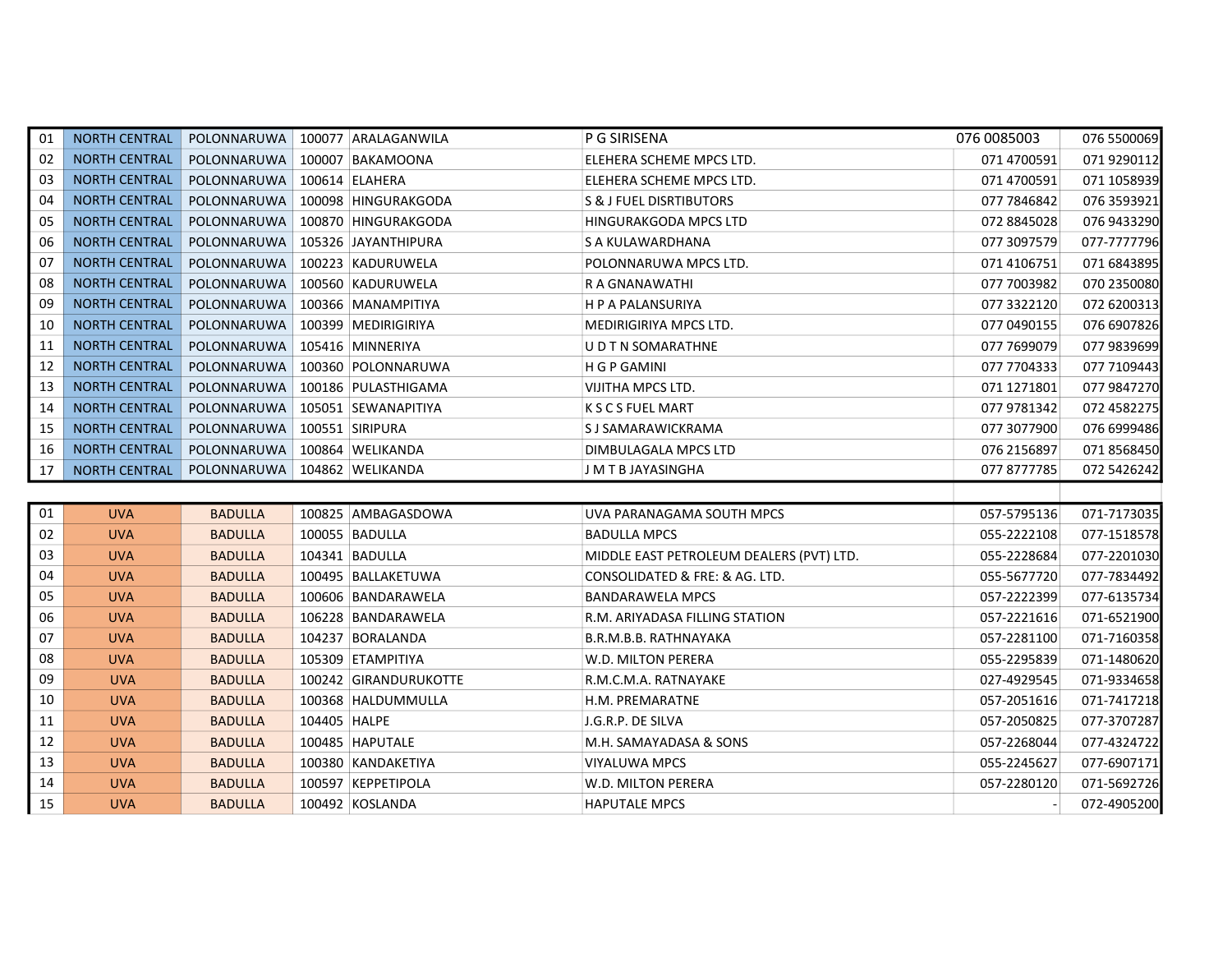| 01 | <b>NORTH CENTRAL</b> |                | POLONNARUWA   100077 ARALAGANWILA | P G SIRISENA                             | 076 0085003 | 076 5500069 |
|----|----------------------|----------------|-----------------------------------|------------------------------------------|-------------|-------------|
| 02 | <b>NORTH CENTRAL</b> | POLONNARUWA    | 100007 BAKAMOONA                  | ELEHERA SCHEME MPCS LTD.                 | 071 4700591 | 071 9290112 |
| 03 | <b>NORTH CENTRAL</b> | POLONNARUWA    | 100614 ELAHERA                    | ELEHERA SCHEME MPCS LTD.                 | 071 4700591 | 071 1058939 |
| 04 | <b>NORTH CENTRAL</b> | POLONNARUWA    | 100098 HINGURAKGODA               | <b>S &amp; J FUEL DISRTIBUTORS</b>       | 077 7846842 | 076 3593921 |
| 05 | <b>NORTH CENTRAL</b> | POLONNARUWA    | 100870 HINGURAKGODA               | HINGURAKGODA MPCS LTD                    | 072 8845028 | 076 9433290 |
| 06 | <b>NORTH CENTRAL</b> | POLONNARUWA    | 105326 JAYANTHIPURA               | S A KULAWARDHANA                         | 077 3097579 | 077-7777796 |
| 07 | <b>NORTH CENTRAL</b> | POLONNARUWA    | 100223 KADURUWELA                 | POLONNARUWA MPCS LTD.                    | 071 4106751 | 071 6843895 |
| 08 | <b>NORTH CENTRAL</b> | POLONNARUWA    | 100560 KADURUWELA                 | R A GNANAWATHI                           | 077 7003982 | 070 2350080 |
| 09 | <b>NORTH CENTRAL</b> | POLONNARUWA    | 100366 MANAMPITIYA                | H P A PALANSURIYA                        | 077 3322120 | 072 6200313 |
| 10 | <b>NORTH CENTRAL</b> | POLONNARUWA    | 100399 MEDIRIGIRIYA               | <b>MEDIRIGIRIYA MPCS LTD.</b>            | 077 0490155 | 076 6907826 |
| 11 | NORTH CENTRAL        | POLONNARUWA    | 105416 MINNERIYA                  | U D T N SOMARATHNE                       | 077 7699079 | 077 9839699 |
| 12 | <b>NORTH CENTRAL</b> | POLONNARUWA    | 100360 POLONNARUWA                | H G P GAMINI                             | 077 7704333 | 077 7109443 |
| 13 | <b>NORTH CENTRAL</b> | POLONNARUWA    | 100186 PULASTHIGAMA               | VIJITHA MPCS LTD.                        | 071 1271801 | 077 9847270 |
| 14 | <b>NORTH CENTRAL</b> | POLONNARUWA    | 105051 SEWANAPITIYA               | <b>KSCSFUELMART</b>                      | 077 9781342 | 072 4582275 |
| 15 | <b>NORTH CENTRAL</b> | POLONNARUWA    | 100551 SIRIPURA                   | S J SAMARAWICKRAMA                       | 077 3077900 | 076 6999486 |
| 16 | <b>NORTH CENTRAL</b> | POLONNARUWA    | 100864 WELIKANDA                  | DIMBULAGALA MPCS LTD                     | 076 2156897 | 071 8568450 |
| 17 | <b>NORTH CENTRAL</b> |                | POLONNARUWA   104862 WELIKANDA    | J M T B JAYASINGHA                       | 077 8777785 | 072 5426242 |
|    |                      |                |                                   |                                          |             |             |
| 01 | <b>UVA</b>           | <b>BADULLA</b> | 100825 AMBAGASDOWA                | UVA PARANAGAMA SOUTH MPCS                | 057-5795136 | 071-7173035 |
| 02 | <b>UVA</b>           | <b>BADULLA</b> | 100055 BADULLA                    | <b>BADULLA MPCS</b>                      | 055-2222108 | 077-1518578 |
| 03 | <b>UVA</b>           | <b>BADULLA</b> | 104341 BADULLA                    | MIDDLE EAST PETROLEUM DEALERS (PVT) LTD. | 055-2228684 | 077-2201030 |
| 04 | <b>UVA</b>           | <b>BADULLA</b> | 100495 BALLAKETUWA                | CONSOLIDATED & FRE: & AG. LTD.           | 055-5677720 | 077-7834492 |
| 05 | <b>UVA</b>           | <b>BADULLA</b> | 100606 BANDARAWELA                | <b>BANDARAWELA MPCS</b>                  | 057-2222399 | 077-6135734 |
| 06 |                      |                |                                   |                                          |             |             |
| 07 | <b>UVA</b>           | <b>BADULLA</b> | 106228 BANDARAWELA                | R.M. ARIYADASA FILLING STATION           | 057-2221616 | 071-6521900 |
|    | <b>UVA</b>           | <b>BADULLA</b> | 104237 BORALANDA                  | B.R.M.B.B. RATHNAYAKA                    | 057-2281100 | 071-7160358 |
| 08 | <b>UVA</b>           | <b>BADULLA</b> | 105309 ETAMPITIYA                 | W.D. MILTON PERERA                       | 055-2295839 | 071-1480620 |
| 09 | <b>UVA</b>           | <b>BADULLA</b> | 100242 GIRANDURUKOTTE             | R.M.C.M.A. RATNAYAKE                     | 027-4929545 | 071-9334658 |
| 10 | <b>UVA</b>           | <b>BADULLA</b> | 100368 HALDUMMULLA                | H.M. PREMARATNE                          | 057-2051616 | 071-7417218 |
| 11 | <b>UVA</b>           | <b>BADULLA</b> | 104405 HALPE                      | J.G.R.P. DE SILVA                        | 057-2050825 | 077-3707287 |
| 12 | <b>UVA</b>           | <b>BADULLA</b> | 100485 HAPUTALE                   | M.H. SAMAYADASA & SONS                   | 057-2268044 | 077-4324722 |
| 13 | <b>UVA</b>           | <b>BADULLA</b> | 100380 KANDAKETIYA                | VIYALUWA MPCS                            | 055-2245627 | 077-6907171 |
| 14 | <b>UVA</b>           | <b>BADULLA</b> | 100597 KEPPETIPOLA                | W.D. MILTON PERERA                       | 057-2280120 | 071-5692726 |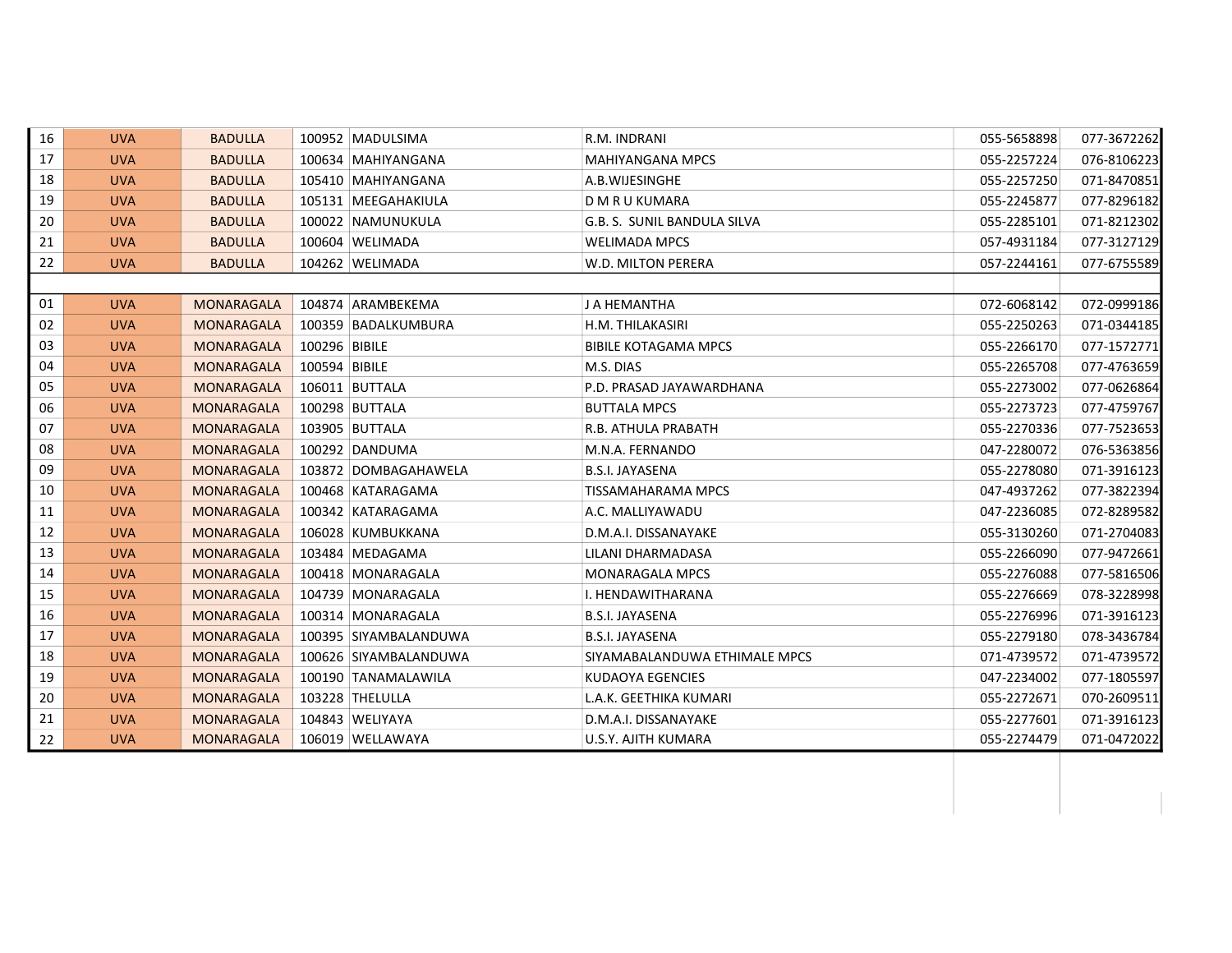| 16 | <b>UVA</b> | <b>BADULLA</b>    |               | 100952 MADULSIMA      | R.M. INDRANI                  | 055-5658898 | 077-3672262 |
|----|------------|-------------------|---------------|-----------------------|-------------------------------|-------------|-------------|
| 17 | <b>UVA</b> | <b>BADULLA</b>    |               | 100634 MAHIYANGANA    | <b>MAHIYANGANA MPCS</b>       | 055-2257224 | 076-8106223 |
| 18 | <b>UVA</b> | <b>BADULLA</b>    |               | 105410   MAHIYANGANA  | A.B.WIJESINGHE                | 055-2257250 | 071-8470851 |
| 19 | <b>UVA</b> | <b>BADULLA</b>    |               | 105131   MEEGAHAKIULA | D M R U KUMARA                | 055-2245877 | 077-8296182 |
| 20 | <b>UVA</b> | <b>BADULLA</b>    |               | 100022 NAMUNUKULA     | G.B. S. SUNIL BANDULA SILVA   | 055-2285101 | 071-8212302 |
| 21 | <b>UVA</b> | <b>BADULLA</b>    |               | 100604 WELIMADA       | <b>WELIMADA MPCS</b>          | 057-4931184 | 077-3127129 |
| 22 | <b>UVA</b> | <b>BADULLA</b>    |               | 104262 WELIMADA       | W.D. MILTON PERERA            | 057-2244161 | 077-6755589 |
|    |            |                   |               |                       |                               |             |             |
| 01 | <b>UVA</b> | <b>MONARAGALA</b> |               | 104874 ARAMBEKEMA     | J A HEMANTHA                  | 072-6068142 | 072-0999186 |
| 02 | <b>UVA</b> | <b>MONARAGALA</b> |               | 100359 BADALKUMBURA   | H.M. THILAKASIRI              | 055-2250263 | 071-0344185 |
| 03 | <b>UVA</b> | <b>MONARAGALA</b> | 100296 BIBILE |                       | <b>BIBILE KOTAGAMA MPCS</b>   | 055-2266170 | 077-1572771 |
| 04 | <b>UVA</b> | <b>MONARAGALA</b> | 100594 BIBILE |                       | M.S. DIAS                     | 055-2265708 | 077-4763659 |
| 05 | <b>UVA</b> | MONARAGALA        |               | 106011 BUTTALA        | P.D. PRASAD JAYAWARDHANA      | 055-2273002 | 077-0626864 |
| 06 | <b>UVA</b> | MONARAGALA        |               | 100298 BUTTALA        | <b>BUTTALA MPCS</b>           | 055-2273723 | 077-4759767 |
| 07 | <b>UVA</b> | MONARAGALA        |               | 103905 BUTTALA        | R.B. ATHULA PRABATH           | 055-2270336 | 077-7523653 |
| 08 | <b>UVA</b> | MONARAGALA        |               | 100292 DANDUMA        | M.N.A. FERNANDO               | 047-2280072 | 076-5363856 |
| 09 | <b>UVA</b> | MONARAGALA        |               | 103872 DOMBAGAHAWELA  | <b>B.S.I. JAYASENA</b>        | 055-2278080 | 071-3916123 |
| 10 | <b>UVA</b> | MONARAGALA        |               | 100468 KATARAGAMA     | TISSAMAHARAMA MPCS            | 047-4937262 | 077-3822394 |
| 11 | <b>UVA</b> | MONARAGALA        |               | 100342 KATARAGAMA     | A.C. MALLIYAWADU              | 047-2236085 | 072-8289582 |
| 12 | <b>UVA</b> | MONARAGALA        |               | 106028 KUMBUKKANA     | D.M.A.I. DISSANAYAKE          | 055-3130260 | 071-2704083 |
| 13 | <b>UVA</b> | MONARAGALA        |               | 103484 MEDAGAMA       | LILANI DHARMADASA             | 055-2266090 | 077-9472661 |
| 14 | <b>UVA</b> | MONARAGALA        |               | 100418 MONARAGALA     | <b>MONARAGALA MPCS</b>        | 055-2276088 | 077-5816506 |
| 15 | <b>UVA</b> | MONARAGALA        |               | 104739 MONARAGALA     | I. HENDAWITHARANA             | 055-2276669 | 078-3228998 |
| 16 | <b>UVA</b> | <b>MONARAGALA</b> |               | 100314 MONARAGALA     | <b>B.S.I. JAYASENA</b>        | 055-2276996 | 071-3916123 |
| 17 | <b>UVA</b> | <b>MONARAGALA</b> |               | 100395 SIYAMBALANDUWA | <b>B.S.I. JAYASENA</b>        | 055-2279180 | 078-3436784 |
| 18 | <b>UVA</b> | MONARAGALA        |               | 100626 SIYAMBALANDUWA | SIYAMABALANDUWA ETHIMALE MPCS | 071-4739572 | 071-4739572 |
| 19 | <b>UVA</b> | MONARAGALA        |               | 100190 TANAMALAWILA   | KUDAOYA EGENCIES              | 047-2234002 | 077-1805597 |
| 20 | <b>UVA</b> | MONARAGALA        |               | 103228 THELULLA       | L.A.K. GEETHIKA KUMARI        | 055-2272671 | 070-2609511 |
| 21 | <b>UVA</b> | <b>MONARAGALA</b> |               | 104843 WELIYAYA       | D.M.A.I. DISSANAYAKE          | 055-2277601 | 071-3916123 |
| 22 | <b>UVA</b> | MONARAGALA        |               | 106019 WELLAWAYA      | U.S.Y. AJITH KUMARA           | 055-2274479 | 071-0472022 |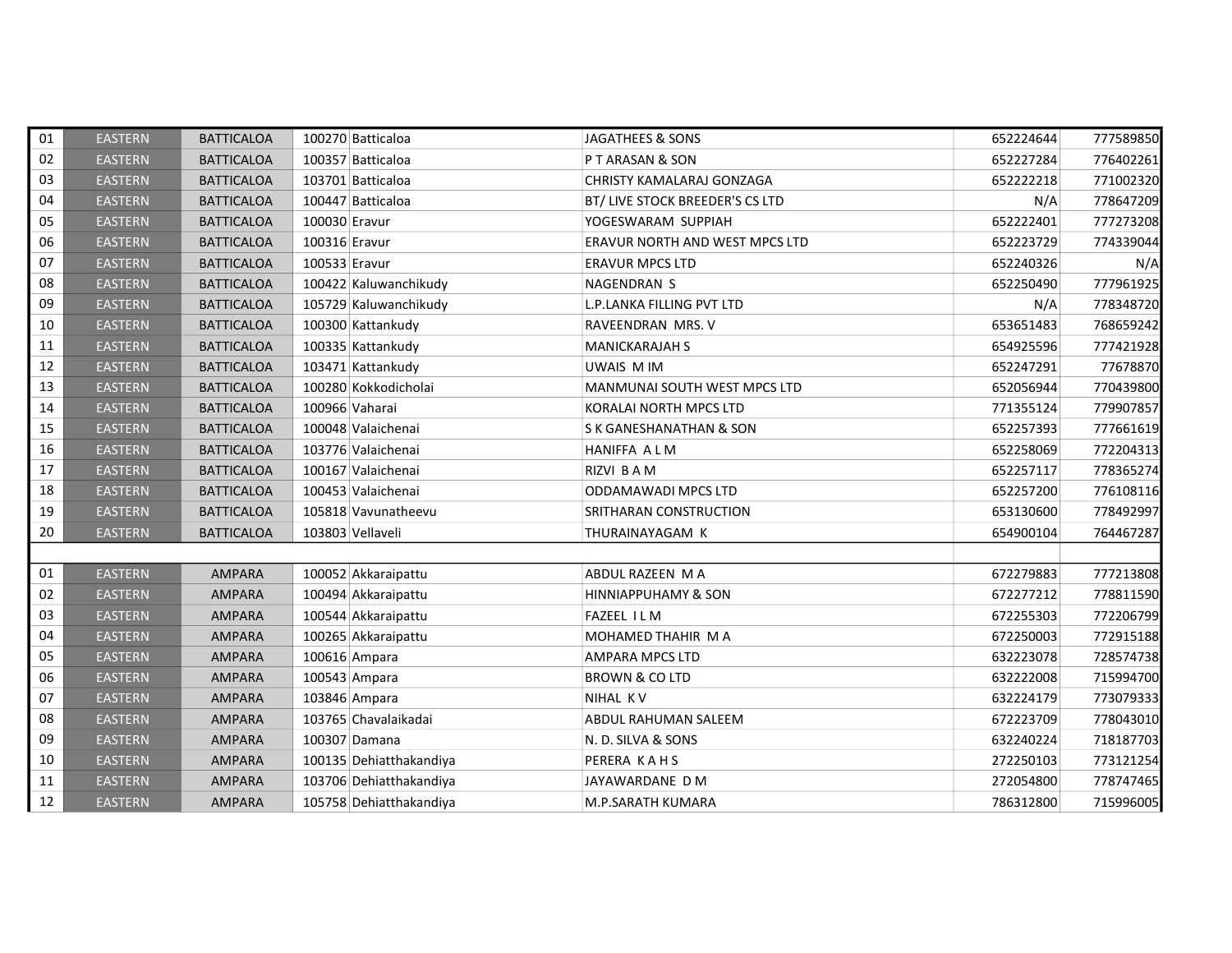| 01 | <b>EASTERN</b> | <b>BATTICALOA</b> | 100270 Batticaloa       | JAGATHEES & SONS                | 652224644 | 777589850 |
|----|----------------|-------------------|-------------------------|---------------------------------|-----------|-----------|
| 02 | <b>EASTERN</b> | <b>BATTICALOA</b> | 100357 Batticaloa       | PT ARASAN & SON                 | 652227284 | 776402261 |
| 03 | <b>EASTERN</b> | <b>BATTICALOA</b> | 103701 Batticaloa       | CHRISTY KAMALARAJ GONZAGA       | 652222218 | 771002320 |
| 04 | <b>EASTERN</b> | <b>BATTICALOA</b> | 100447 Batticaloa       | BT/ LIVE STOCK BREEDER'S CS LTD | N/A       | 778647209 |
| 05 | <b>EASTERN</b> | <b>BATTICALOA</b> | 100030 Eravur           | YOGESWARAM SUPPIAH              | 652222401 | 777273208 |
| 06 | <b>EASTERN</b> | <b>BATTICALOA</b> | 100316 Eravur           | ERAVUR NORTH AND WEST MPCS LTD  | 652223729 | 774339044 |
| 07 | <b>EASTERN</b> | <b>BATTICALOA</b> | 100533 Eravur           | <b>ERAVUR MPCS LTD</b>          | 652240326 | N/A       |
| 08 | <b>EASTERN</b> | <b>BATTICALOA</b> | 100422 Kaluwanchikudy   | NAGENDRAN S                     | 652250490 | 777961925 |
| 09 | <b>EASTERN</b> | <b>BATTICALOA</b> | 105729 Kaluwanchikudy   | L.P.LANKA FILLING PVT LTD       | N/A       | 778348720 |
| 10 | <b>EASTERN</b> | <b>BATTICALOA</b> | 100300 Kattankudy       | RAVEENDRAN MRS. V               | 653651483 | 768659242 |
| 11 | <b>EASTERN</b> | <b>BATTICALOA</b> | 100335 Kattankudy       | <b>MANICKARAJAH S</b>           | 654925596 | 777421928 |
| 12 | <b>EASTERN</b> | <b>BATTICALOA</b> | 103471 Kattankudy       | UWAIS M IM                      | 652247291 | 77678870  |
| 13 | <b>EASTERN</b> | <b>BATTICALOA</b> | 100280 Kokkodicholai    | MANMUNAI SOUTH WEST MPCS LTD    | 652056944 | 770439800 |
| 14 | <b>EASTERN</b> | <b>BATTICALOA</b> | 100966 Vaharai          | KORALAI NORTH MPCS LTD          | 771355124 | 779907857 |
| 15 | <b>EASTERN</b> | <b>BATTICALOA</b> | 100048 Valaichenai      | S K GANESHANATHAN & SON         | 652257393 | 777661619 |
| 16 | <b>EASTERN</b> | <b>BATTICALOA</b> | 103776 Valaichenai      | <b>HANIFFA ALM</b>              | 652258069 | 772204313 |
| 17 | <b>EASTERN</b> | <b>BATTICALOA</b> | 100167 Valaichenai      | RIZVI BAM                       | 652257117 | 778365274 |
| 18 | <b>EASTERN</b> | <b>BATTICALOA</b> | 100453 Valaichenai      | ODDAMAWADI MPCS LTD             | 652257200 | 776108116 |
| 19 | <b>EASTERN</b> | <b>BATTICALOA</b> | 105818 Vavunatheevu     | SRITHARAN CONSTRUCTION          | 653130600 | 778492997 |
| 20 | <b>EASTERN</b> | <b>BATTICALOA</b> | 103803 Vellaveli        | THURAINAYAGAM K                 | 654900104 | 764467287 |
|    |                |                   |                         |                                 |           |           |
| 01 | <b>EASTERN</b> | <b>AMPARA</b>     | 100052 Akkaraipattu     | ABDUL RAZEEN M A                | 672279883 | 777213808 |
| 02 | <b>EASTERN</b> | <b>AMPARA</b>     | 100494 Akkaraipattu     | <b>HINNIAPPUHAMY &amp; SON</b>  | 672277212 | 778811590 |
| 03 | <b>EASTERN</b> | <b>AMPARA</b>     | 100544 Akkaraipattu     | <b>FAZEEL ILM</b>               | 672255303 | 772206799 |
| 04 | <b>EASTERN</b> | AMPARA            | 100265 Akkaraipattu     | MOHAMED THAHIR M A              | 672250003 | 772915188 |
| 05 | <b>EASTERN</b> | <b>AMPARA</b>     | 100616 Ampara           | <b>AMPARA MPCS LTD</b>          | 632223078 | 728574738 |
| 06 | <b>EASTERN</b> | <b>AMPARA</b>     | 100543 Ampara           | <b>BROWN &amp; CO LTD</b>       | 632222008 | 715994700 |
| 07 | <b>EASTERN</b> | <b>AMPARA</b>     | 103846 Ampara           | <b>NIHAL KV</b>                 | 632224179 | 773079333 |
| 08 | <b>EASTERN</b> | AMPARA            | 103765 Chavalaikadai    | ABDUL RAHUMAN SALEEM            | 672223709 | 778043010 |
| 09 | <b>EASTERN</b> | <b>AMPARA</b>     | 100307 Damana           | N. D. SILVA & SONS              | 632240224 | 718187703 |
| 10 | <b>EASTERN</b> | <b>AMPARA</b>     | 100135 Dehiatthakandiya | PERERA KAHS                     | 272250103 | 773121254 |
| 11 | <b>EASTERN</b> | <b>AMPARA</b>     | 103706 Dehiatthakandiya | JAYAWARDANE D M                 | 272054800 | 778747465 |
| 12 | <b>EASTERN</b> | <b>AMPARA</b>     | 105758 Dehiatthakandiya | M.P.SARATH KUMARA               | 786312800 | 715996005 |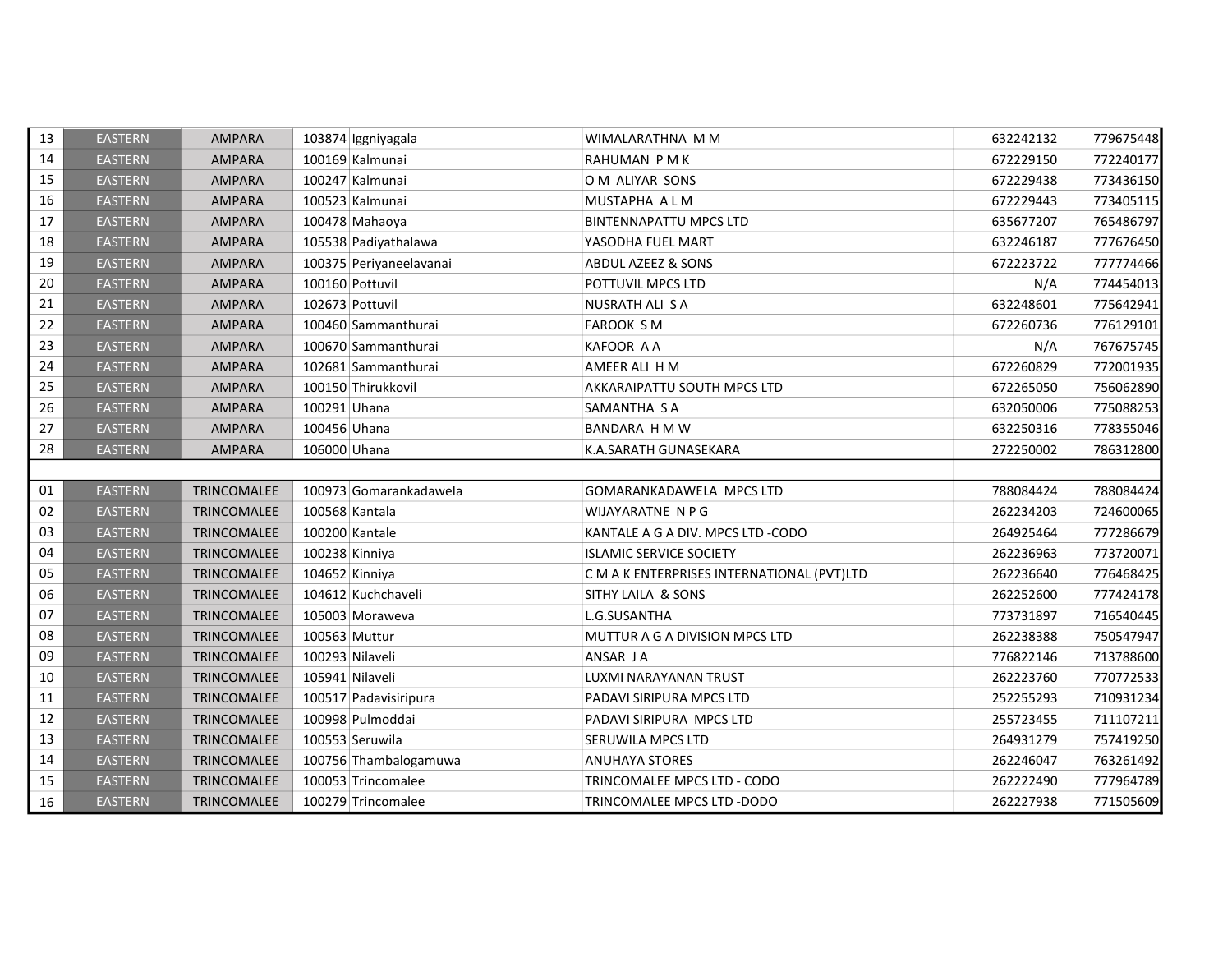| 13 | <b>EASTERN</b> | <b>AMPARA</b> | 103874 Iggniyagala      | WIMALARATHNA M M                           | 632242132 | 779675448 |
|----|----------------|---------------|-------------------------|--------------------------------------------|-----------|-----------|
| 14 | <b>EASTERN</b> | <b>AMPARA</b> | 100169 Kalmunai         | RAHUMAN PMK                                | 672229150 | 772240177 |
| 15 | <b>EASTERN</b> | <b>AMPARA</b> | 100247 Kalmunai         | O M ALIYAR SONS                            | 672229438 | 773436150 |
| 16 | <b>EASTERN</b> | <b>AMPARA</b> | 100523 Kalmunai         | MUSTAPHA A L M                             | 672229443 | 773405115 |
| 17 | <b>EASTERN</b> | <b>AMPARA</b> | 100478 Mahaoya          | <b>BINTENNAPATTU MPCS LTD</b>              | 635677207 | 765486797 |
| 18 | <b>EASTERN</b> | AMPARA        | 105538 Padiyathalawa    | YASODHA FUEL MART                          | 632246187 | 777676450 |
| 19 | <b>EASTERN</b> | AMPARA        | 100375 Periyaneelavanai | <b>ABDUL AZEEZ &amp; SONS</b>              | 672223722 | 777774466 |
| 20 | <b>EASTERN</b> | <b>AMPARA</b> | 100160 Pottuvil         | POTTUVIL MPCS LTD                          | N/A       | 774454013 |
| 21 | <b>EASTERN</b> | <b>AMPARA</b> | 102673 Pottuvil         | NUSRATH ALI S A                            | 632248601 | 775642941 |
| 22 | <b>EASTERN</b> | <b>AMPARA</b> | 100460 Sammanthurai     | <b>FAROOK SM</b>                           | 672260736 | 776129101 |
| 23 | <b>EASTERN</b> | AMPARA        | 100670 Sammanthurai     | KAFOOR A A                                 | N/A       | 767675745 |
| 24 | <b>EASTERN</b> | AMPARA        | 102681 Sammanthurai     | AMEER ALI H M                              | 672260829 | 772001935 |
| 25 | <b>EASTERN</b> | <b>AMPARA</b> | 100150 Thirukkovil      | AKKARAIPATTU SOUTH MPCS LTD                | 672265050 | 756062890 |
| 26 | <b>EASTERN</b> | <b>AMPARA</b> | 100291 Uhana            | SAMANTHA SA                                | 632050006 | 775088253 |
| 27 | <b>EASTERN</b> | <b>AMPARA</b> | 100456 Uhana            | BANDARA H M W                              | 632250316 | 778355046 |
| 28 | <b>EASTERN</b> | <b>AMPARA</b> | 106000 Uhana            | K.A.SARATH GUNASEKARA                      | 272250002 | 786312800 |
|    |                |               |                         |                                            |           |           |
| 01 | <b>EASTERN</b> | TRINCOMALEE   | 100973 Gomarankadawela  | GOMARANKADAWELA MPCS LTD                   | 788084424 | 788084424 |
| 02 | <b>EASTERN</b> | TRINCOMALEE   | 100568 Kantala          | WIJAYARATNE N P G                          | 262234203 | 724600065 |
| 03 | <b>EASTERN</b> | TRINCOMALEE   | 100200 Kantale          | KANTALE A G A DIV. MPCS LTD -CODO          | 264925464 | 777286679 |
| 04 | <b>EASTERN</b> | TRINCOMALEE   | 100238 Kinniya          | <b>ISLAMIC SERVICE SOCIETY</b>             | 262236963 | 773720071 |
| 05 | <b>EASTERN</b> | TRINCOMALEE   | 104652 Kinniya          | C M A K ENTERPRISES INTERNATIONAL (PVT)LTD | 262236640 | 776468425 |
| 06 | <b>EASTERN</b> | TRINCOMALEE   | 104612 Kuchchaveli      | SITHY LAILA & SONS                         | 262252600 | 777424178 |
| 07 | <b>EASTERN</b> | TRINCOMALEE   | 105003 Moraweva         | L.G.SUSANTHA                               | 773731897 | 716540445 |
| 08 | <b>EASTERN</b> | TRINCOMALEE   | 100563 Muttur           | MUTTUR A G A DIVISION MPCS LTD             | 262238388 | 750547947 |
| 09 | <b>EASTERN</b> | TRINCOMALEE   | 100293 Nilaveli         | ANSAR JA                                   | 776822146 | 713788600 |
| 10 | <b>EASTERN</b> | TRINCOMALEE   | 105941 Nilaveli         | LUXMI NARAYANAN TRUST                      | 262223760 | 770772533 |
| 11 | <b>EASTERN</b> | TRINCOMALEE   | 100517 Padavisiripura   | PADAVI SIRIPURA MPCS LTD                   | 252255293 | 710931234 |
| 12 | <b>EASTERN</b> | TRINCOMALEE   | 100998 Pulmoddai        | PADAVI SIRIPURA MPCS LTD                   | 255723455 | 711107211 |
| 13 | <b>EASTERN</b> | TRINCOMALEE   | 100553 Seruwila         | SERUWILA MPCS LTD                          | 264931279 | 757419250 |
| 14 | <b>EASTERN</b> | TRINCOMALEE   | 100756 Thambalogamuwa   | <b>ANUHAYA STORES</b>                      | 262246047 | 763261492 |
| 15 | <b>EASTERN</b> | TRINCOMALEE   | 100053 Trincomalee      | TRINCOMALEE MPCS LTD - CODO                | 262222490 | 777964789 |
| 16 | <b>EASTERN</b> | TRINCOMALEE   | 100279 Trincomalee      | TRINCOMALEE MPCS LTD -DODO                 | 262227938 | 771505609 |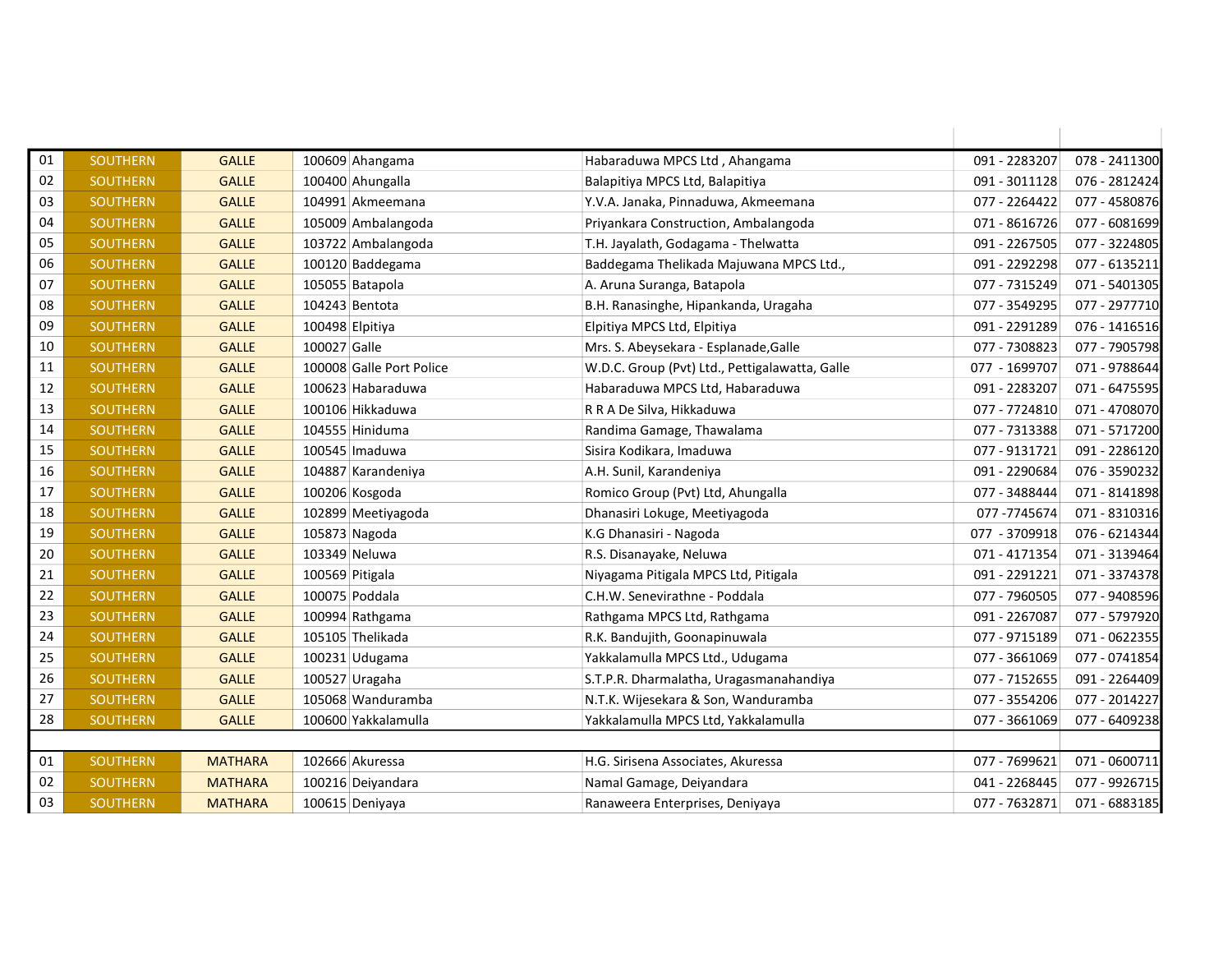| 01 | <b>SOUTHERN</b> | <b>GALLE</b>   |                 | 100609 Ahangama          | Habaraduwa MPCS Ltd, Ahangama                  | 091 - 2283207 | 078 - 2411300 |
|----|-----------------|----------------|-----------------|--------------------------|------------------------------------------------|---------------|---------------|
| 02 | <b>SOUTHERN</b> | <b>GALLE</b>   |                 | 100400 Ahungalla         | Balapitiya MPCS Ltd, Balapitiya                | 091 - 3011128 | 076 - 2812424 |
| 03 | <b>SOUTHERN</b> | <b>GALLE</b>   |                 | 104991 Akmeemana         | Y.V.A. Janaka, Pinnaduwa, Akmeemana            | 077 - 2264422 | 077 - 4580876 |
| 04 | <b>SOUTHERN</b> | <b>GALLE</b>   |                 | 105009 Ambalangoda       | Priyankara Construction, Ambalangoda           | 071 - 8616726 | 077 - 6081699 |
| 05 | <b>SOUTHERN</b> | <b>GALLE</b>   |                 | 103722 Ambalangoda       | T.H. Jayalath, Godagama - Thelwatta            | 091 - 2267505 | 077 - 3224805 |
| 06 | <b>SOUTHERN</b> | <b>GALLE</b>   |                 | 100120 Baddegama         | Baddegama Thelikada Majuwana MPCS Ltd.,        | 091 - 2292298 | 077 - 6135211 |
| 07 | <b>SOUTHERN</b> | <b>GALLE</b>   |                 | 105055 Batapola          | A. Aruna Suranga, Batapola                     | 077 - 7315249 | 071 - 5401305 |
| 08 | SOUTHERN        | <b>GALLE</b>   |                 | 104243 Bentota           | B.H. Ranasinghe, Hipankanda, Uragaha           | 077 - 3549295 | 077 - 2977710 |
| 09 | <b>SOUTHERN</b> | <b>GALLE</b>   | 100498 Elpitiya |                          | Elpitiya MPCS Ltd, Elpitiya                    | 091 - 2291289 | 076 - 1416516 |
| 10 | <b>SOUTHERN</b> | <b>GALLE</b>   | 100027 Galle    |                          | Mrs. S. Abeysekara - Esplanade, Galle          | 077 - 7308823 | 077 - 7905798 |
| 11 | <b>SOUTHERN</b> | <b>GALLE</b>   |                 | 100008 Galle Port Police | W.D.C. Group (Pvt) Ltd., Pettigalawatta, Galle | 077 - 1699707 | 071 - 9788644 |
| 12 | SOUTHERN        | <b>GALLE</b>   |                 | 100623 Habaraduwa        | Habaraduwa MPCS Ltd, Habaraduwa                | 091 - 2283207 | 071 - 6475595 |
| 13 | <b>SOUTHERN</b> | <b>GALLE</b>   |                 | 100106 Hikkaduwa         | R R A De Silva, Hikkaduwa                      | 077 - 7724810 | 071 - 4708070 |
| 14 | <b>SOUTHERN</b> | <b>GALLE</b>   |                 | 104555 Hiniduma          | Randima Gamage, Thawalama                      | 077 - 7313388 | 071 - 5717200 |
| 15 | <b>SOUTHERN</b> | <b>GALLE</b>   |                 | 100545 Imaduwa           | Sisira Kodikara, Imaduwa                       | 077 - 9131721 | 091 - 2286120 |
| 16 | SOUTHERN        | <b>GALLE</b>   |                 | 104887 Karandeniya       | A.H. Sunil, Karandeniya                        | 091 - 2290684 | 076 - 3590232 |
| 17 | <b>SOUTHERN</b> | <b>GALLE</b>   |                 | 100206 Kosgoda           | Romico Group (Pvt) Ltd, Ahungalla              | 077 - 3488444 | 071 - 8141898 |
| 18 | <b>SOUTHERN</b> | <b>GALLE</b>   |                 | 102899 Meetiyagoda       | Dhanasiri Lokuge, Meetiyagoda                  | 077-7745674   | 071 - 8310316 |
| 19 | <b>SOUTHERN</b> | <b>GALLE</b>   |                 | 105873 Nagoda            | K.G Dhanasiri - Nagoda                         | 077 - 3709918 | 076 - 6214344 |
| 20 | <b>SOUTHERN</b> | <b>GALLE</b>   | 103349 Neluwa   |                          | R.S. Disanayake, Neluwa                        | 071 - 4171354 | 071 - 3139464 |
| 21 | <b>SOUTHERN</b> | <b>GALLE</b>   | 100569 Pitigala |                          | Niyagama Pitigala MPCS Ltd, Pitigala           | 091 - 2291221 | 071 - 3374378 |
| 22 | <b>SOUTHERN</b> | <b>GALLE</b>   |                 | 100075 Poddala           | C.H.W. Senevirathne - Poddala                  | 077 - 7960505 | 077 - 9408596 |
| 23 | <b>SOUTHERN</b> | <b>GALLE</b>   |                 | 100994 Rathgama          | Rathgama MPCS Ltd, Rathgama                    | 091 - 2267087 | 077 - 5797920 |
| 24 | <b>SOUTHERN</b> | <b>GALLE</b>   |                 | 105105 Thelikada         | R.K. Bandujith, Goonapinuwala                  | 077 - 9715189 | 071 - 0622355 |
| 25 | <b>SOUTHERN</b> | <b>GALLE</b>   |                 | 100231 Udugama           | Yakkalamulla MPCS Ltd., Udugama                | 077 - 3661069 | 077 - 0741854 |
| 26 | <b>SOUTHERN</b> | <b>GALLE</b>   |                 | 100527 Uragaha           | S.T.P.R. Dharmalatha, Uragasmanahandiya        | 077 - 7152655 | 091 - 2264409 |
| 27 | <b>SOUTHERN</b> | <b>GALLE</b>   |                 | 105068 Wanduramba        | N.T.K. Wijesekara & Son, Wanduramba            | 077 - 3554206 | 077 - 2014227 |
| 28 | SOUTHERN        | <b>GALLE</b>   |                 | 100600 Yakkalamulla      | Yakkalamulla MPCS Ltd, Yakkalamulla            | 077 - 3661069 | 077 - 6409238 |
|    |                 |                |                 |                          |                                                |               |               |
| 01 | <b>SOUTHERN</b> | <b>MATHARA</b> |                 | 102666 Akuressa          | H.G. Sirisena Associates, Akuressa             | 077 - 7699621 | 071 - 0600711 |
| 02 | <b>SOUTHERN</b> | <b>MATHARA</b> |                 | 100216 Deiyandara        | Namal Gamage, Deiyandara                       | 041 - 2268445 | 077 - 9926715 |
| 03 | <b>SOUTHERN</b> | <b>MATHARA</b> |                 | 100615 Deniyaya          | Ranaweera Enterprises, Deniyaya                | 077 - 7632871 | 071 - 6883185 |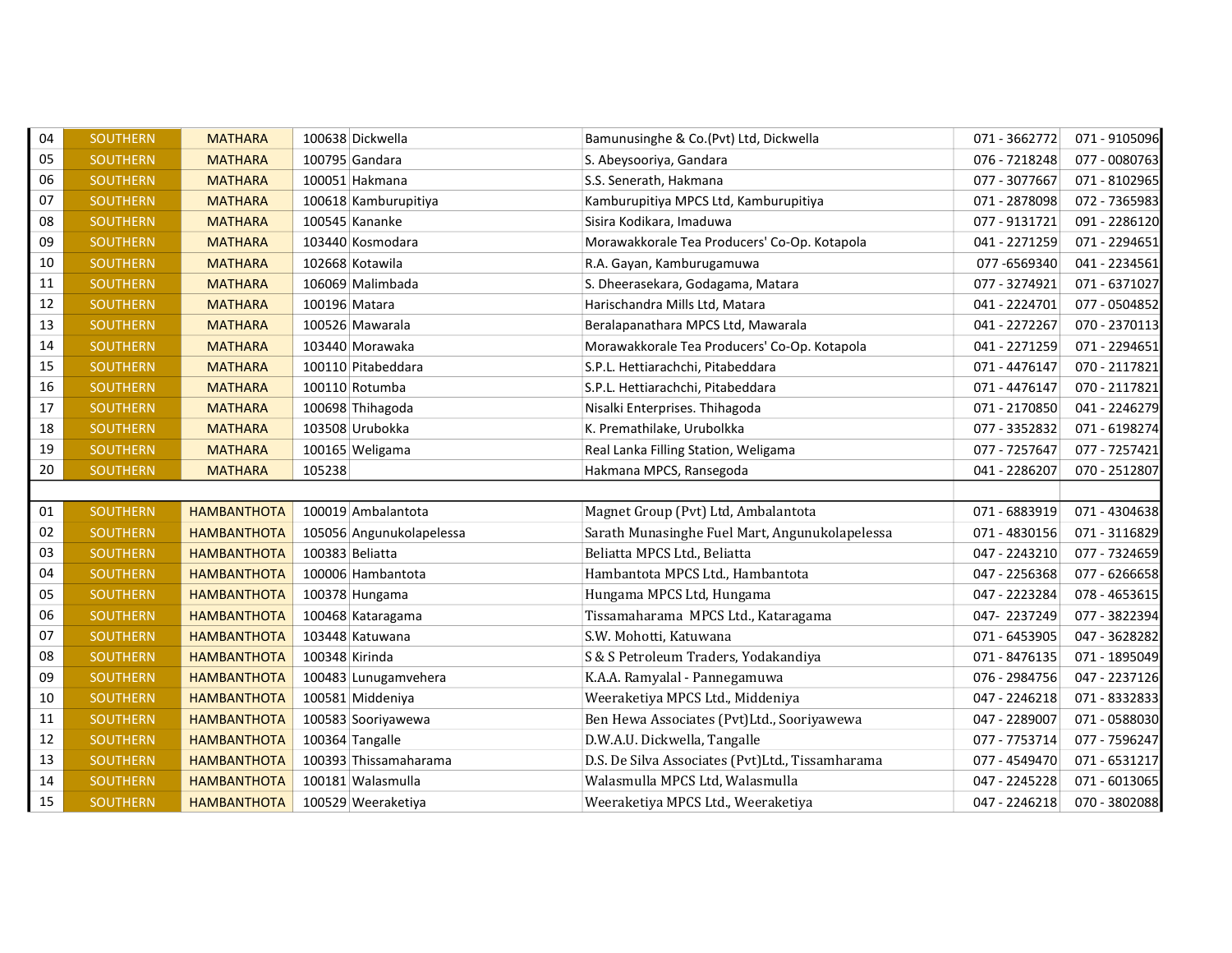| 04 | <b>SOUTHERN</b> | <b>MATHARA</b>     |                 | 100638 Dickwella         | Bamunusinghe & Co.(Pvt) Ltd, Dickwella           | 071 - 3662772 | 071 - 9105096 |
|----|-----------------|--------------------|-----------------|--------------------------|--------------------------------------------------|---------------|---------------|
| 05 | <b>SOUTHERN</b> | <b>MATHARA</b>     |                 | 100795 Gandara           | S. Abeysooriya, Gandara                          | 076 - 7218248 | 077 - 0080763 |
| 06 | <b>SOUTHERN</b> | <b>MATHARA</b>     |                 | 100051 Hakmana           | S.S. Senerath, Hakmana                           | 077 - 3077667 | 071 - 8102965 |
| 07 | <b>SOUTHERN</b> | <b>MATHARA</b>     |                 | 100618 Kamburupitiya     | Kamburupitiya MPCS Ltd, Kamburupitiya            | 071 - 2878098 | 072 - 7365983 |
| 08 | <b>SOUTHERN</b> | <b>MATHARA</b>     |                 | 100545 Kananke           | Sisira Kodikara, Imaduwa                         | 077 - 9131721 | 091 - 2286120 |
| 09 | <b>SOUTHERN</b> | <b>MATHARA</b>     |                 | 103440 Kosmodara         | Morawakkorale Tea Producers' Co-Op. Kotapola     | 041 - 2271259 | 071 - 2294651 |
| 10 | <b>SOUTHERN</b> | <b>MATHARA</b>     |                 | 102668 Kotawila          | R.A. Gayan, Kamburugamuwa                        | 077-6569340   | 041 - 2234561 |
| 11 | <b>SOUTHERN</b> | <b>MATHARA</b>     |                 | 106069 Malimbada         | S. Dheerasekara, Godagama, Matara                | 077 - 3274921 | 071 - 6371027 |
| 12 | <b>SOUTHERN</b> | <b>MATHARA</b>     | 100196 Matara   |                          | Harischandra Mills Ltd, Matara                   | 041 - 2224701 | 077 - 0504852 |
| 13 | <b>SOUTHERN</b> | <b>MATHARA</b>     |                 | 100526 Mawarala          | Beralapanathara MPCS Ltd, Mawarala               | 041 - 2272267 | 070 - 2370113 |
| 14 | SOUTHERN        | <b>MATHARA</b>     |                 | 103440 Morawaka          | Morawakkorale Tea Producers' Co-Op. Kotapola     | 041 - 2271259 | 071 - 2294651 |
| 15 | <b>SOUTHERN</b> | <b>MATHARA</b>     |                 | 100110 Pitabeddara       | S.P.L. Hettiarachchi, Pitabeddara                | 071 - 4476147 | 070 - 2117821 |
| 16 | <b>SOUTHERN</b> | <b>MATHARA</b>     |                 | 100110 Rotumba           | S.P.L. Hettiarachchi, Pitabeddara                | 071 - 4476147 | 070 - 2117821 |
| 17 | <b>SOUTHERN</b> | <b>MATHARA</b>     |                 | 100698 Thihagoda         | Nisalki Enterprises. Thihagoda                   | 071 - 2170850 | 041 - 2246279 |
| 18 | SOUTHERN        | <b>MATHARA</b>     |                 | 103508 Urubokka          | K. Premathilake, Urubolkka                       | 077 - 3352832 | 071 - 6198274 |
| 19 | <b>SOUTHERN</b> | <b>MATHARA</b>     |                 | 100165 Weligama          | Real Lanka Filling Station, Weligama             | 077 - 7257647 | 077 - 7257421 |
| 20 | <b>SOUTHERN</b> | <b>MATHARA</b>     | 105238          |                          | Hakmana MPCS, Ransegoda                          | 041 - 2286207 | 070 - 2512807 |
|    |                 |                    |                 |                          |                                                  |               |               |
| 01 | <b>SOUTHERN</b> | <b>HAMBANTHOTA</b> |                 | 100019 Ambalantota       | Magnet Group (Pvt) Ltd, Ambalantota              | 071 - 6883919 | 071 - 4304638 |
| 02 | <b>SOUTHERN</b> | <b>HAMBANTHOTA</b> |                 | 105056 Angunukolapelessa | Sarath Munasinghe Fuel Mart, Angunukolapelessa   | 071 - 4830156 | 071 - 3116829 |
| 03 | <b>SOUTHERN</b> | <b>HAMBANTHOTA</b> | 100383 Beliatta |                          | Beliatta MPCS Ltd., Beliatta                     | 047 - 2243210 | 077 - 7324659 |
| 04 | <b>SOUTHERN</b> | <b>HAMBANTHOTA</b> |                 | 100006 Hambantota        | Hambantota MPCS Ltd., Hambantota                 | 047 - 2256368 | 077 - 6266658 |
| 05 | <b>SOUTHERN</b> | <b>HAMBANTHOTA</b> |                 | 100378 Hungama           | Hungama MPCS Ltd, Hungama                        | 047 - 2223284 | 078 - 4653615 |
| 06 | <b>SOUTHERN</b> | <b>HAMBANTHOTA</b> |                 | 100468 Kataragama        | Tissamaharama MPCS Ltd., Kataragama              | 047-2237249   | 077 - 3822394 |
| 07 | <b>SOUTHERN</b> | <b>HAMBANTHOTA</b> |                 | 103448 Katuwana          | S.W. Mohotti, Katuwana                           | 071 - 6453905 | 047 - 3628282 |
| 08 | <b>SOUTHERN</b> | <b>HAMBANTHOTA</b> | 100348 Kirinda  |                          | S & S Petroleum Traders, Yodakandiya             | 071 - 8476135 | 071 - 1895049 |
| 09 | <b>SOUTHERN</b> | <b>HAMBANTHOTA</b> |                 | 100483 Lunugamvehera     | K.A.A. Ramyalal - Pannegamuwa                    | 076 - 2984756 | 047 - 2237126 |
| 10 | <b>SOUTHERN</b> | <b>HAMBANTHOTA</b> |                 | 100581 Middeniya         | Weeraketiya MPCS Ltd., Middeniya                 | 047 - 2246218 | 071 - 8332833 |
| 11 | <b>SOUTHERN</b> | <b>HAMBANTHOTA</b> |                 | 100583 Sooriyawewa       | Ben Hewa Associates (Pvt)Ltd., Sooriyawewa       | 047 - 2289007 | 071 - 0588030 |
| 12 | SOUTHERN        | <b>HAMBANTHOTA</b> |                 | 100364 Tangalle          | D.W.A.U. Dickwella, Tangalle                     | 077 - 7753714 | 077 - 7596247 |
| 13 | <b>SOUTHERN</b> | <b>HAMBANTHOTA</b> |                 | 100393 Thissamaharama    | D.S. De Silva Associates (Pvt)Ltd., Tissamharama | 077 - 4549470 | 071 - 6531217 |
| 14 | SOUTHERN        | <b>HAMBANTHOTA</b> |                 | 100181 Walasmulla        | Walasmulla MPCS Ltd, Walasmulla                  | 047 - 2245228 | 071 - 6013065 |
| 15 | <b>SOUTHERN</b> | <b>HAMBANTHOTA</b> |                 | 100529 Weeraketiya       | Weeraketiya MPCS Ltd., Weeraketiya               | 047 - 2246218 | 070 - 3802088 |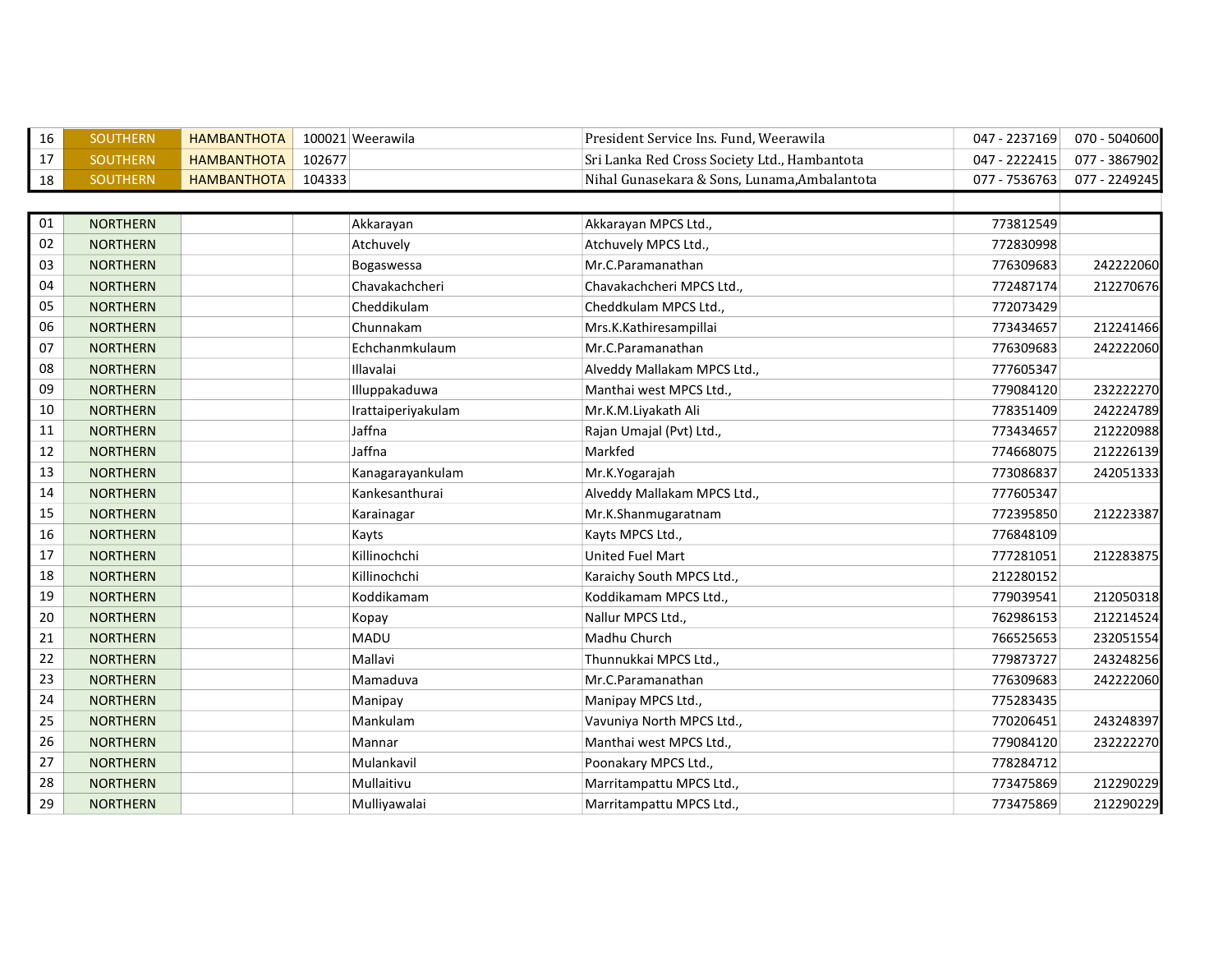| 16 | <b>SOUTHERN</b> | <b>HAMBANTHOTA</b> |        | 100021 Weerawila   | President Service Ins. Fund, Weerawila       | 047 - 2237169 | 070 - 5040600 |
|----|-----------------|--------------------|--------|--------------------|----------------------------------------------|---------------|---------------|
| 17 | <b>SOUTHERN</b> | <b>HAMBANTHOTA</b> | 102677 |                    | Sri Lanka Red Cross Society Ltd., Hambantota | 047 - 2222415 | 077 - 3867902 |
| 18 | <b>SOUTHERN</b> | <b>HAMBANTHOTA</b> | 104333 |                    | Nihal Gunasekara & Sons, Lunama, Ambalantota | 077 - 7536763 | 077 - 2249245 |
|    |                 |                    |        |                    |                                              |               |               |
| 01 | <b>NORTHERN</b> |                    |        | Akkarayan          | Akkarayan MPCS Ltd.,                         | 773812549     |               |
| 02 | <b>NORTHERN</b> |                    |        | Atchuvely          | Atchuvely MPCS Ltd.,                         | 772830998     |               |
| 03 | <b>NORTHERN</b> |                    |        | Bogaswessa         | Mr.C.Paramanathan                            | 776309683     | 242222060     |
| 04 | <b>NORTHERN</b> |                    |        | Chavakachcheri     | Chavakachcheri MPCS Ltd.,                    | 772487174     | 212270676     |
| 05 | <b>NORTHERN</b> |                    |        | Cheddikulam        | Cheddkulam MPCS Ltd.,                        | 772073429     |               |
| 06 | <b>NORTHERN</b> |                    |        | Chunnakam          | Mrs.K.Kathiresampillai                       | 773434657     | 212241466     |
| 07 | <b>NORTHERN</b> |                    |        | Echchanmkulaum     | Mr.C.Paramanathan                            | 776309683     | 242222060     |
| 08 | <b>NORTHERN</b> |                    |        | Illavalai          | Alveddy Mallakam MPCS Ltd.,                  | 777605347     |               |
| 09 | <b>NORTHERN</b> |                    |        | Illuppakaduwa      | Manthai west MPCS Ltd.,                      | 779084120     | 232222270     |
| 10 | <b>NORTHERN</b> |                    |        | Irattaiperiyakulam | Mr.K.M.Liyakath Ali                          | 778351409     | 242224789     |
| 11 | <b>NORTHERN</b> |                    |        | Jaffna             | Rajan Umajal (Pvt) Ltd.,                     | 773434657     | 212220988     |
| 12 | <b>NORTHERN</b> |                    |        | Jaffna             | Markfed                                      | 774668075     | 212226139     |
| 13 | <b>NORTHERN</b> |                    |        | Kanagarayankulam   | Mr.K.Yogarajah                               | 773086837     | 242051333     |
| 14 | <b>NORTHERN</b> |                    |        | Kankesanthurai     | Alveddy Mallakam MPCS Ltd.,                  | 777605347     |               |
| 15 | <b>NORTHERN</b> |                    |        | Karainagar         | Mr.K.Shanmugaratnam                          | 772395850     | 212223387     |
| 16 | <b>NORTHERN</b> |                    |        | Kayts              | Kayts MPCS Ltd.,                             | 776848109     |               |
| 17 | <b>NORTHERN</b> |                    |        | Killinochchi       | United Fuel Mart                             | 777281051     | 212283875     |
| 18 | <b>NORTHERN</b> |                    |        | Killinochchi       | Karaichy South MPCS Ltd.,                    | 212280152     |               |
| 19 | <b>NORTHERN</b> |                    |        | Koddikamam         | Koddikamam MPCS Ltd.,                        | 779039541     | 212050318     |
| 20 | <b>NORTHERN</b> |                    |        | Kopay              | Nallur MPCS Ltd.,                            | 762986153     | 212214524     |
| 21 | <b>NORTHERN</b> |                    |        | <b>MADU</b>        | Madhu Church                                 | 766525653     | 232051554     |
| 22 | <b>NORTHERN</b> |                    |        | Mallavi            | Thunnukkai MPCS Ltd.,                        | 779873727     | 243248256     |
| 23 | <b>NORTHERN</b> |                    |        | Mamaduva           | Mr.C.Paramanathan                            | 776309683     | 242222060     |
| 24 | <b>NORTHERN</b> |                    |        | Manipay            | Manipay MPCS Ltd.,                           | 775283435     |               |
| 25 | <b>NORTHERN</b> |                    |        | Mankulam           | Vavuniya North MPCS Ltd.,                    | 770206451     | 243248397     |
| 26 | <b>NORTHERN</b> |                    |        | Mannar             | Manthai west MPCS Ltd.,                      | 779084120     | 232222270     |
| 27 | <b>NORTHERN</b> |                    |        | Mulankavil         | Poonakary MPCS Ltd.,                         | 778284712     |               |
| 28 | <b>NORTHERN</b> |                    |        | Mullaitivu         | Marritampattu MPCS Ltd.,                     | 773475869     | 212290229     |
| 29 | <b>NORTHERN</b> |                    |        | Mulliyawalai       | Marritampattu MPCS Ltd.,                     | 773475869     | 212290229     |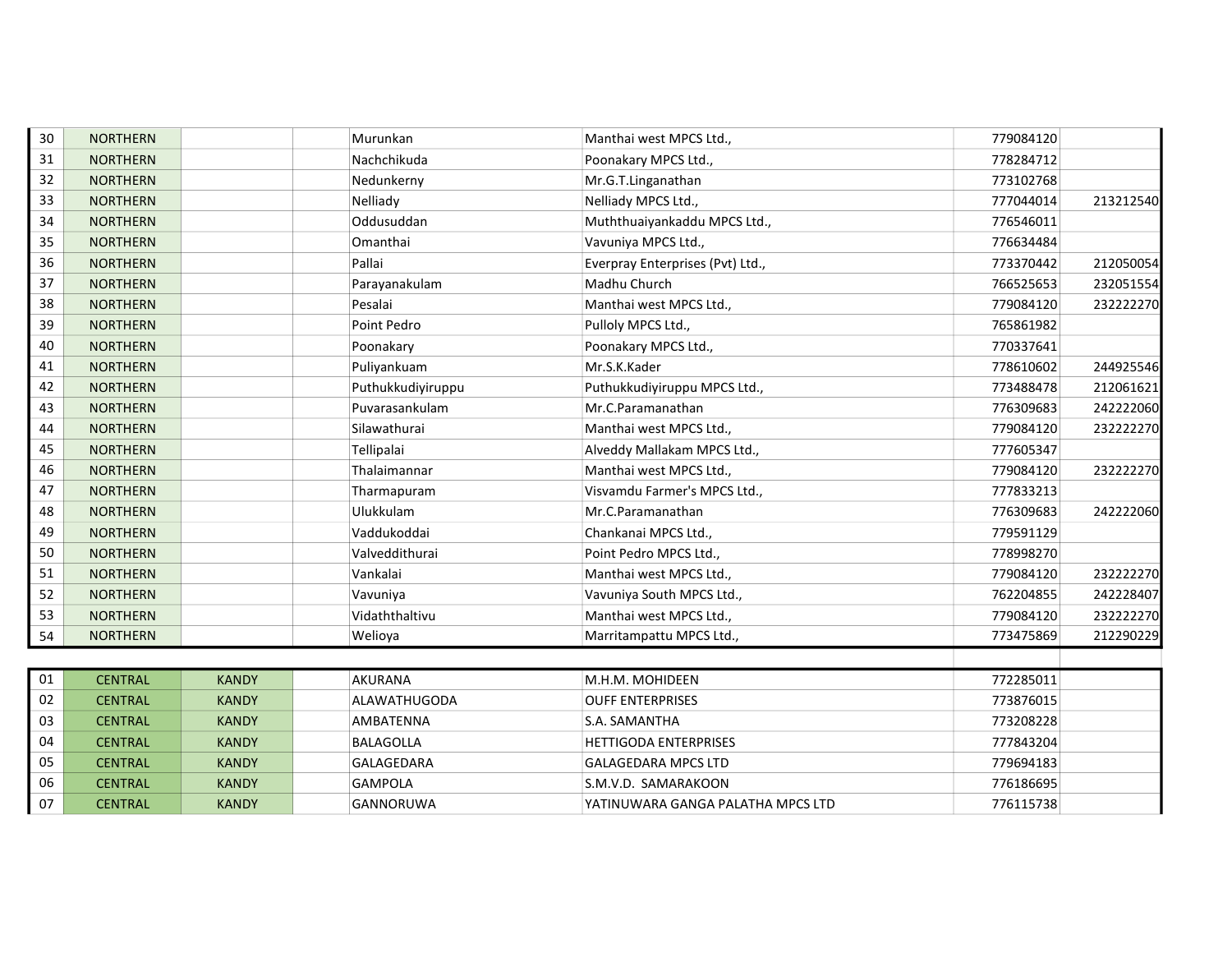| 30 | <b>NORTHERN</b> |              | Murunkan            | Manthai west MPCS Ltd.,           | 779084120 |           |
|----|-----------------|--------------|---------------------|-----------------------------------|-----------|-----------|
| 31 | <b>NORTHERN</b> |              | Nachchikuda         | Poonakary MPCS Ltd.,              | 778284712 |           |
| 32 | <b>NORTHERN</b> |              | Nedunkerny          | Mr.G.T.Linganathan                | 773102768 |           |
| 33 | <b>NORTHERN</b> |              | Nelliady            | Nelliady MPCS Ltd.,               | 777044014 | 213212540 |
| 34 | <b>NORTHERN</b> |              | Oddusuddan          | Muththuaiyankaddu MPCS Ltd.,      | 776546011 |           |
| 35 | <b>NORTHERN</b> |              | Omanthai            | Vavuniya MPCS Ltd.,               | 776634484 |           |
| 36 | <b>NORTHERN</b> |              | Pallai              | Everpray Enterprises (Pvt) Ltd.,  | 773370442 | 212050054 |
| 37 | <b>NORTHERN</b> |              | Parayanakulam       | Madhu Church                      | 766525653 | 232051554 |
| 38 | <b>NORTHERN</b> |              | Pesalai             | Manthai west MPCS Ltd.,           | 779084120 | 232222270 |
| 39 | <b>NORTHERN</b> |              | Point Pedro         | Pulloly MPCS Ltd.,                | 765861982 |           |
| 40 | <b>NORTHERN</b> |              | Poonakary           | Poonakary MPCS Ltd.,              | 770337641 |           |
| 41 | <b>NORTHERN</b> |              | Puliyankuam         | Mr.S.K.Kader                      | 778610602 | 244925546 |
| 42 | <b>NORTHERN</b> |              | Puthukkudiyiruppu   | Puthukkudiyiruppu MPCS Ltd.,      | 773488478 | 212061621 |
| 43 | <b>NORTHERN</b> |              | Puvarasankulam      | Mr.C.Paramanathan                 | 776309683 | 242222060 |
| 44 | <b>NORTHERN</b> |              | Silawathurai        | Manthai west MPCS Ltd.,           | 779084120 | 232222270 |
| 45 | <b>NORTHERN</b> |              | Tellipalai          | Alveddy Mallakam MPCS Ltd.,       | 777605347 |           |
| 46 | <b>NORTHERN</b> |              | Thalaimannar        | Manthai west MPCS Ltd.,           | 779084120 | 232222270 |
| 47 | <b>NORTHERN</b> |              | Tharmapuram         | Visvamdu Farmer's MPCS Ltd.,      | 777833213 |           |
| 48 | <b>NORTHERN</b> |              | Ulukkulam           | Mr.C.Paramanathan                 | 776309683 | 242222060 |
| 49 | <b>NORTHERN</b> |              | Vaddukoddai         | Chankanai MPCS Ltd.,              | 779591129 |           |
| 50 | <b>NORTHERN</b> |              | Valveddithurai      | Point Pedro MPCS Ltd.,            | 778998270 |           |
| 51 | <b>NORTHERN</b> |              | Vankalai            | Manthai west MPCS Ltd.,           | 779084120 | 232222270 |
| 52 | <b>NORTHERN</b> |              | Vavuniya            | Vavuniya South MPCS Ltd.,         | 762204855 | 242228407 |
| 53 | <b>NORTHERN</b> |              | Vidaththaltivu      | Manthai west MPCS Ltd.,           | 779084120 | 232222270 |
| 54 | <b>NORTHERN</b> |              | Welioya             | Marritampattu MPCS Ltd.,          | 773475869 | 212290229 |
|    |                 |              |                     |                                   |           |           |
| 01 | <b>CENTRAL</b>  | <b>KANDY</b> | <b>AKURANA</b>      | M.H.M. MOHIDEEN                   | 772285011 |           |
| 02 | <b>CENTRAL</b>  | <b>KANDY</b> | <b>ALAWATHUGODA</b> | <b>OUFF ENTERPRISES</b>           | 773876015 |           |
| 03 | <b>CENTRAL</b>  | <b>KANDY</b> | AMBATENNA           | S.A. SAMANTHA                     | 773208228 |           |
| 04 | <b>CENTRAL</b>  | <b>KANDY</b> | <b>BALAGOLLA</b>    | <b>HETTIGODA ENTERPRISES</b>      | 777843204 |           |
| 05 | <b>CENTRAL</b>  | <b>KANDY</b> | GALAGEDARA          | <b>GALAGEDARA MPCS LTD</b>        | 779694183 |           |
| 06 | <b>CENTRAL</b>  | <b>KANDY</b> | <b>GAMPOLA</b>      | S.M.V.D. SAMARAKOON               | 776186695 |           |
| 07 | <b>CENTRAL</b>  | <b>KANDY</b> | GANNORUWA           | YATINUWARA GANGA PALATHA MPCS LTD | 776115738 |           |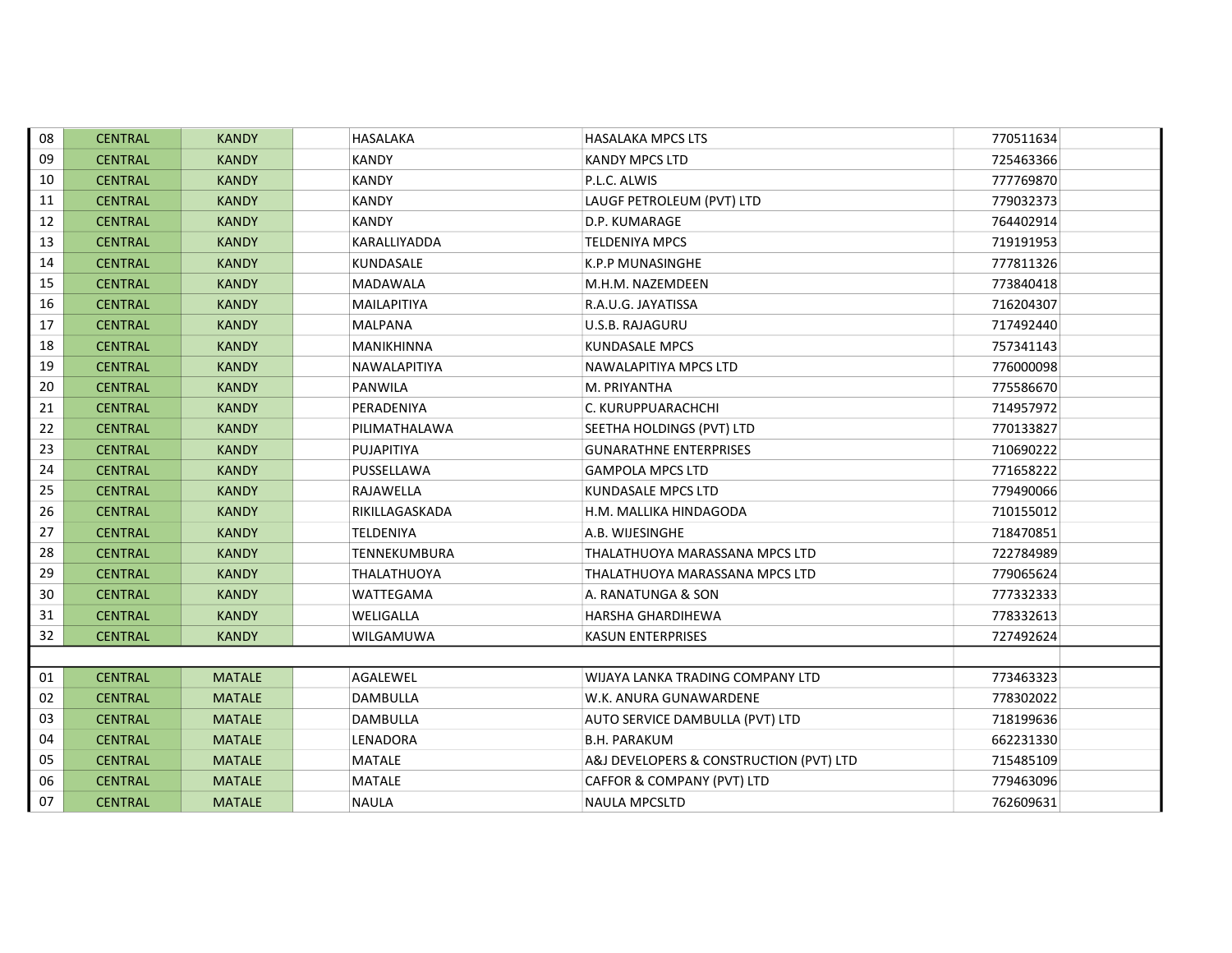| 08 | <b>CENTRAL</b> | <b>KANDY</b>  | HASALAKA            | <b>HASALAKA MPCS LTS</b>                | 770511634 |
|----|----------------|---------------|---------------------|-----------------------------------------|-----------|
| 09 | <b>CENTRAL</b> | <b>KANDY</b>  | <b>KANDY</b>        | <b>KANDY MPCS LTD</b>                   | 725463366 |
| 10 | <b>CENTRAL</b> | <b>KANDY</b>  | <b>KANDY</b>        | P.L.C. ALWIS                            | 777769870 |
| 11 | <b>CENTRAL</b> | <b>KANDY</b>  | <b>KANDY</b>        | LAUGF PETROLEUM (PVT) LTD               | 779032373 |
| 12 | <b>CENTRAL</b> | <b>KANDY</b>  | KANDY               | D.P. KUMARAGE                           | 764402914 |
| 13 | <b>CENTRAL</b> | <b>KANDY</b>  | KARALLIYADDA        | <b>TELDENIYA MPCS</b>                   | 719191953 |
| 14 | <b>CENTRAL</b> | <b>KANDY</b>  | KUNDASALE           | <b>K.P.P MUNASINGHE</b>                 | 777811326 |
| 15 | <b>CENTRAL</b> | <b>KANDY</b>  | <b>MADAWALA</b>     | M.H.M. NAZEMDEEN                        | 773840418 |
| 16 | <b>CENTRAL</b> | <b>KANDY</b>  | MAILAPITIYA         | R.A.U.G. JAYATISSA                      | 716204307 |
| 17 | <b>CENTRAL</b> | <b>KANDY</b>  | MALPANA             | <b>U.S.B. RAJAGURU</b>                  | 717492440 |
| 18 | <b>CENTRAL</b> | <b>KANDY</b>  | MANIKHINNA          | KUNDASALE MPCS                          | 757341143 |
| 19 | <b>CENTRAL</b> | <b>KANDY</b>  | NAWALAPITIYA        | NAWALAPITIYA MPCS LTD                   | 776000098 |
| 20 | <b>CENTRAL</b> | <b>KANDY</b>  | <b>PANWILA</b>      | M. PRIYANTHA                            | 775586670 |
| 21 | <b>CENTRAL</b> | <b>KANDY</b>  | PERADENIYA          | C. KURUPPUARACHCHI                      | 714957972 |
| 22 | <b>CENTRAL</b> | <b>KANDY</b>  | PILIMATHALAWA       | SEETHA HOLDINGS (PVT) LTD               | 770133827 |
| 23 | <b>CENTRAL</b> | <b>KANDY</b>  | PUJAPITIYA          | <b>GUNARATHNE ENTERPRISES</b>           | 710690222 |
| 24 | <b>CENTRAL</b> | <b>KANDY</b>  | PUSSELLAWA          | <b>GAMPOLA MPCS LTD</b>                 | 771658222 |
| 25 | <b>CENTRAL</b> | <b>KANDY</b>  | RAJAWELLA           | KUNDASALE MPCS LTD                      | 779490066 |
| 26 | <b>CENTRAL</b> | <b>KANDY</b>  | RIKILLAGASKADA      | H.M. MALLIKA HINDAGODA                  | 710155012 |
| 27 | <b>CENTRAL</b> | <b>KANDY</b>  | TELDENIYA           | A.B. WIJESINGHE                         | 718470851 |
| 28 | <b>CENTRAL</b> | <b>KANDY</b>  | <b>TENNEKUMBURA</b> | THALATHUOYA MARASSANA MPCS LTD          | 722784989 |
| 29 | <b>CENTRAL</b> | <b>KANDY</b>  | THALATHUOYA         | THALATHUOYA MARASSANA MPCS LTD          | 779065624 |
| 30 | <b>CENTRAL</b> | <b>KANDY</b>  | WATTEGAMA           | A. RANATUNGA & SON                      | 777332333 |
| 31 | <b>CENTRAL</b> | <b>KANDY</b>  | WELIGALLA           | <b>HARSHA GHARDIHEWA</b>                | 778332613 |
| 32 | <b>CENTRAL</b> | <b>KANDY</b>  | WILGAMUWA           | <b>KASUN ENTERPRISES</b>                | 727492624 |
|    |                |               |                     |                                         |           |
| 01 | <b>CENTRAL</b> | <b>MATALE</b> | AGALEWEL            | WIJAYA LANKA TRADING COMPANY LTD        | 773463323 |
| 02 | <b>CENTRAL</b> | <b>MATALE</b> | <b>DAMBULLA</b>     | W.K. ANURA GUNAWARDENE                  | 778302022 |
| 03 | <b>CENTRAL</b> | <b>MATALE</b> | <b>DAMBULLA</b>     | AUTO SERVICE DAMBULLA (PVT) LTD         | 718199636 |
| 04 | <b>CENTRAL</b> | <b>MATALE</b> | LENADORA            | <b>B.H. PARAKUM</b>                     | 662231330 |
| 05 | <b>CENTRAL</b> | <b>MATALE</b> | MATALE              | A&J DEVELOPERS & CONSTRUCTION (PVT) LTD | 715485109 |
| 06 | <b>CENTRAL</b> | <b>MATALE</b> | <b>MATALE</b>       | CAFFOR & COMPANY (PVT) LTD              | 779463096 |
| 07 | <b>CENTRAL</b> | <b>MATALE</b> | <b>NAULA</b>        | <b>NAULA MPCSLTD</b>                    | 762609631 |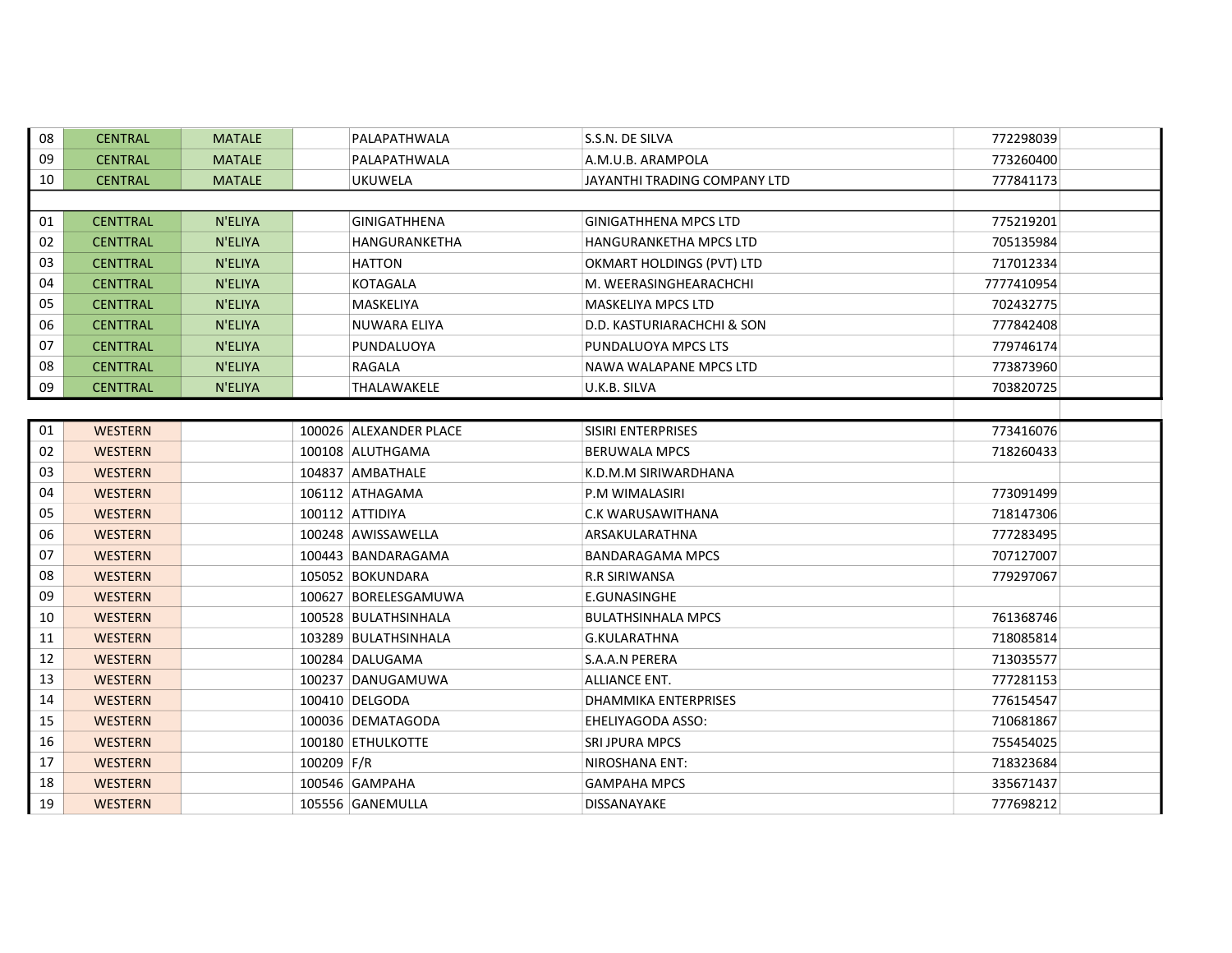| 08 | <b>CENTRAL</b>  | <b>MATALE</b> | PALAPATHWALA           | S.S.N. DE SILVA               | 772298039  |  |  |  |  |
|----|-----------------|---------------|------------------------|-------------------------------|------------|--|--|--|--|
| 09 | <b>CENTRAL</b>  | <b>MATALE</b> | PALAPATHWALA           | A.M.U.B. ARAMPOLA             | 773260400  |  |  |  |  |
| 10 | <b>CENTRAL</b>  | <b>MATALE</b> | <b>UKUWELA</b>         | JAYANTHI TRADING COMPANY LTD  | 777841173  |  |  |  |  |
|    |                 |               |                        |                               |            |  |  |  |  |
| 01 | <b>CENTTRAL</b> | N'ELIYA       | <b>GINIGATHHENA</b>    | <b>GINIGATHHENA MPCS LTD</b>  | 775219201  |  |  |  |  |
| 02 | <b>CENTTRAL</b> | N'ELIYA       | HANGURANKETHA          | <b>HANGURANKETHA MPCS LTD</b> | 705135984  |  |  |  |  |
| 03 | <b>CENTTRAL</b> | N'ELIYA       | <b>HATTON</b>          | OKMART HOLDINGS (PVT) LTD     | 717012334  |  |  |  |  |
| 04 | <b>CENTTRAL</b> | N'ELIYA       | KOTAGALA               | M. WEERASINGHEARACHCHI        | 7777410954 |  |  |  |  |
| 05 | <b>CENTTRAL</b> | N'ELIYA       | MASKELIYA              | MASKELIYA MPCS LTD            | 702432775  |  |  |  |  |
| 06 | <b>CENTTRAL</b> | N'ELIYA       | NUWARA ELIYA           | D.D. KASTURIARACHCHI & SON    | 777842408  |  |  |  |  |
| 07 | <b>CENTTRAL</b> | N'ELIYA       | PUNDALUOYA             | PUNDALUOYA MPCS LTS           | 779746174  |  |  |  |  |
| 08 | <b>CENTTRAL</b> | N'ELIYA       | RAGALA                 | NAWA WALAPANE MPCS LTD        | 773873960  |  |  |  |  |
| 09 | <b>CENTTRAL</b> | N'ELIYA       | THALAWAKELE            | U.K.B. SILVA                  | 703820725  |  |  |  |  |
|    |                 |               |                        |                               |            |  |  |  |  |
| 01 | <b>WESTERN</b>  |               | 100026 ALEXANDER PLACE | <b>SISIRI ENTERPRISES</b>     | 773416076  |  |  |  |  |
| 02 | <b>WESTERN</b>  |               | 100108 ALUTHGAMA       | <b>BERUWALA MPCS</b>          | 718260433  |  |  |  |  |
| 03 | <b>WESTERN</b>  |               | 104837 AMBATHALE       | K.D.M.M SIRIWARDHANA          |            |  |  |  |  |
| 04 | <b>WESTERN</b>  |               | 106112 ATHAGAMA        | P.M WIMALASIRI                | 773091499  |  |  |  |  |
| 05 | <b>WESTERN</b>  |               | 100112 ATTIDIYA        | C.K WARUSAWITHANA             | 718147306  |  |  |  |  |
| 06 | <b>WESTERN</b>  |               | 100248 AWISSAWELLA     | ARSAKULARATHNA                | 777283495  |  |  |  |  |
| 07 | <b>WESTERN</b>  |               | 100443 BANDARAGAMA     | BANDARAGAMA MPCS              | 707127007  |  |  |  |  |
| 08 | <b>WESTERN</b>  |               | 105052 BOKUNDARA       | R.R SIRIWANSA                 | 779297067  |  |  |  |  |
| 09 | <b>WESTERN</b>  |               | 100627 BORELESGAMUWA   | E.GUNASINGHE                  |            |  |  |  |  |
| 10 | <b>WESTERN</b>  |               | 100528 BULATHSINHALA   | <b>BULATHSINHALA MPCS</b>     | 761368746  |  |  |  |  |
| 11 | <b>WESTERN</b>  |               | 103289 BULATHSINHALA   | G.KULARATHNA                  | 718085814  |  |  |  |  |
| 12 | <b>WESTERN</b>  |               | 100284 DALUGAMA        | S.A.A.N PERERA                | 713035577  |  |  |  |  |
| 13 | <b>WESTERN</b>  |               | 100237 DANUGAMUWA      | ALLIANCE ENT.                 | 777281153  |  |  |  |  |
| 14 | <b>WESTERN</b>  |               | 100410 DELGODA         | <b>DHAMMIKA ENTERPRISES</b>   | 776154547  |  |  |  |  |
| 15 | <b>WESTERN</b>  |               | 100036 DEMATAGODA      | EHELIYAGODA ASSO:             | 710681867  |  |  |  |  |
| 16 | <b>WESTERN</b>  |               | 100180 ETHULKOTTE      | <b>SRI JPURA MPCS</b>         | 755454025  |  |  |  |  |
| 17 | <b>WESTERN</b>  |               | 100209 F/R             | NIROSHANA ENT:                | 718323684  |  |  |  |  |
| 18 | <b>WESTERN</b>  |               | 100546 GAMPAHA         | <b>GAMPAHA MPCS</b>           | 335671437  |  |  |  |  |
| 19 | <b>WESTERN</b>  |               | 105556 GANEMULLA       | DISSANAYAKE                   | 777698212  |  |  |  |  |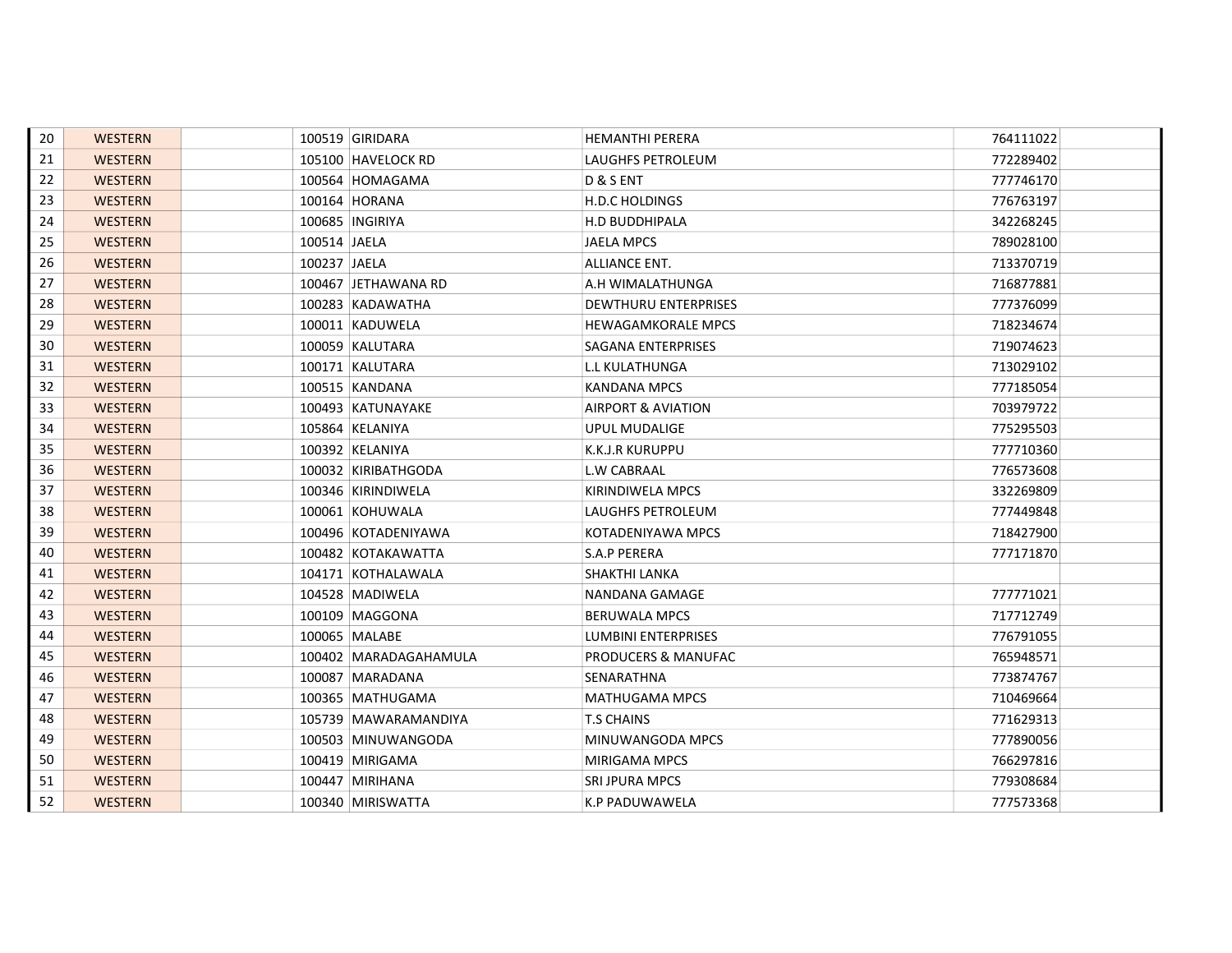| 20 | <b>WESTERN</b> |              | 100519 GIRIDARA         | <b>HEMANTHI PERERA</b>     | 764111022 |
|----|----------------|--------------|-------------------------|----------------------------|-----------|
| 21 | <b>WESTERN</b> |              | 105100 HAVELOCK RD      | <b>LAUGHFS PETROLEUM</b>   | 772289402 |
| 22 | <b>WESTERN</b> |              | 100564 HOMAGAMA         | D & S ENT                  | 777746170 |
| 23 | <b>WESTERN</b> |              | 100164 HORANA           | H.D.C HOLDINGS             | 776763197 |
| 24 | <b>WESTERN</b> |              | 100685   INGIRIYA       | <b>H.D BUDDHIPALA</b>      | 342268245 |
| 25 | <b>WESTERN</b> | 100514 JAELA |                         | <b>JAELA MPCS</b>          | 789028100 |
| 26 | <b>WESTERN</b> | 100237 JAELA |                         | ALLIANCE ENT.              | 713370719 |
| 27 | <b>WESTERN</b> |              | 100467 JETHAWANA RD     | A.H WIMALATHUNGA           | 716877881 |
| 28 | <b>WESTERN</b> |              | 100283 KADAWATHA        | DEWTHURU ENTERPRISES       | 777376099 |
| 29 | <b>WESTERN</b> |              | 100011 KADUWELA         | <b>HEWAGAMKORALE MPCS</b>  | 718234674 |
| 30 | <b>WESTERN</b> |              | 100059 KALUTARA         | SAGANA ENTERPRISES         | 719074623 |
| 31 | <b>WESTERN</b> |              | 100171 KALUTARA         | L.L KULATHUNGA             | 713029102 |
| 32 | <b>WESTERN</b> |              | 100515 KANDANA          | KANDANA MPCS               | 777185054 |
| 33 | <b>WESTERN</b> |              | 100493 KATUNAYAKE       | AIRPORT & AVIATION         | 703979722 |
| 34 | <b>WESTERN</b> |              | 105864 KELANIYA         | <b>UPUL MUDALIGE</b>       | 775295503 |
| 35 | <b>WESTERN</b> |              | 100392 KELANIYA         | <b>K.K.J.R KURUPPU</b>     | 777710360 |
| 36 | <b>WESTERN</b> |              | 100032 KIRIBATHGODA     | <b>L.W CABRAAL</b>         | 776573608 |
| 37 | <b>WESTERN</b> |              | 100346 KIRINDIWELA      | KIRINDIWELA MPCS           | 332269809 |
| 38 | <b>WESTERN</b> |              | 100061 KOHUWALA         | LAUGHFS PETROLEUM          | 777449848 |
| 39 | <b>WESTERN</b> |              | 100496 KOTADENIYAWA     | KOTADENIYAWA MPCS          | 718427900 |
| 40 | <b>WESTERN</b> |              | 100482 KOTAKAWATTA      | <b>S.A.P PERERA</b>        | 777171870 |
| 41 | <b>WESTERN</b> |              | 104171 KOTHALAWALA      | SHAKTHI LANKA              |           |
| 42 | <b>WESTERN</b> |              | 104528   MADIWELA       | NANDANA GAMAGE             | 777771021 |
| 43 | <b>WESTERN</b> |              | 100109 MAGGONA          | <b>BERUWALA MPCS</b>       | 717712749 |
| 44 | <b>WESTERN</b> |              | 100065 MALABE           | <b>LUMBINI ENTERPRISES</b> | 776791055 |
| 45 | <b>WESTERN</b> |              | 100402   MARADAGAHAMULA | PRODUCERS & MANUFAC        | 765948571 |
| 46 | <b>WESTERN</b> |              | 100087   MARADANA       | SENARATHNA                 | 773874767 |
| 47 | <b>WESTERN</b> |              | 100365   MATHUGAMA      | <b>MATHUGAMA MPCS</b>      | 710469664 |
| 48 | <b>WESTERN</b> |              | 105739 MAWARAMANDIYA    | <b>T.S CHAINS</b>          | 771629313 |
| 49 | <b>WESTERN</b> |              | 100503 MINUWANGODA      | MINUWANGODA MPCS           | 777890056 |
| 50 | <b>WESTERN</b> |              | 100419 MIRIGAMA         | <b>MIRIGAMA MPCS</b>       | 766297816 |
| 51 | <b>WESTERN</b> |              | 100447 MIRIHANA         | <b>SRI JPURA MPCS</b>      | 779308684 |
| 52 | <b>WESTERN</b> |              | 100340 MIRISWATTA       | K.P PADUWAWELA             | 777573368 |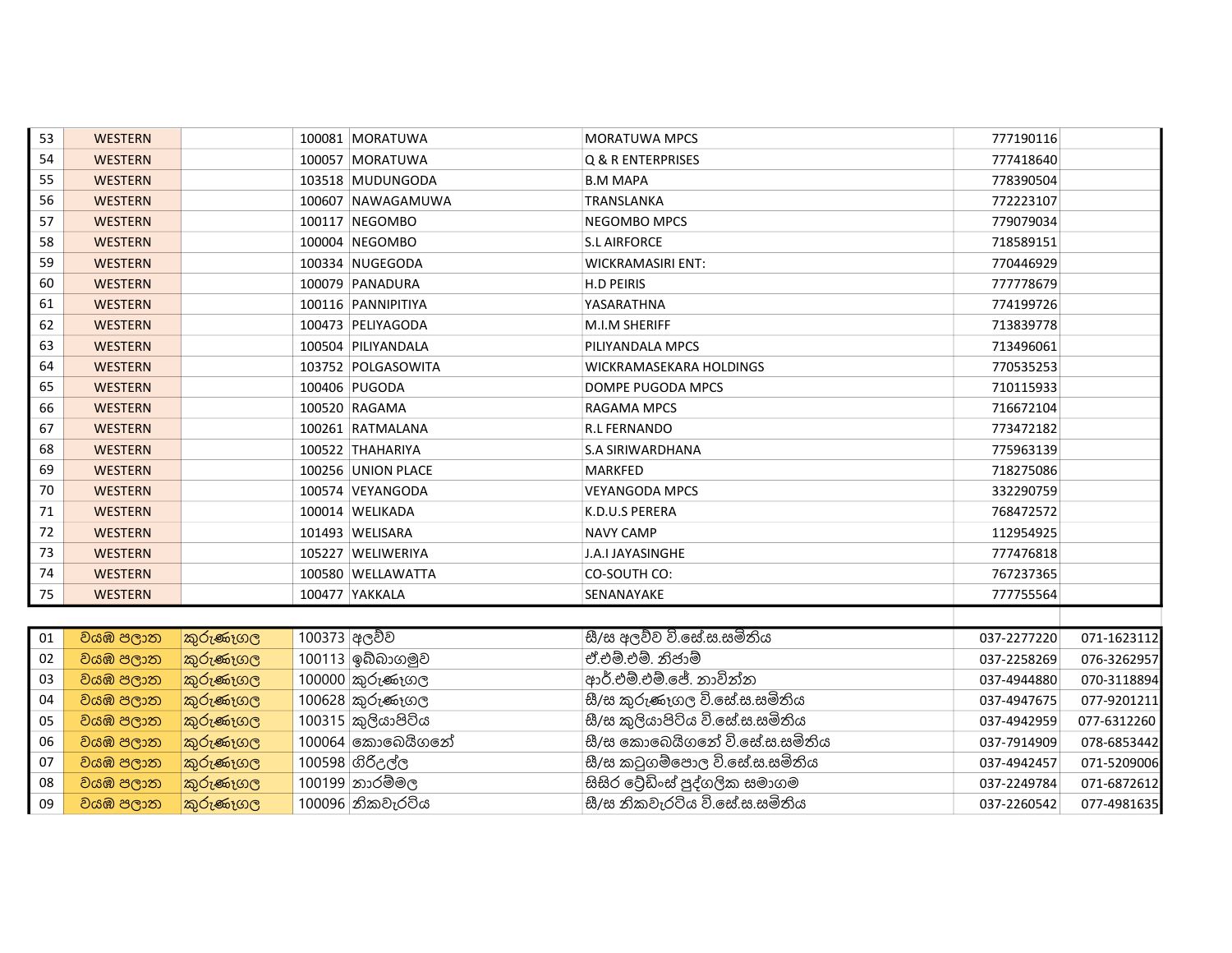| 53 | <b>WESTERN</b> |          |              | 100081 MORATUWA    | <b>MORATUWA MPCS</b>            | 777190116   |             |  |
|----|----------------|----------|--------------|--------------------|---------------------------------|-------------|-------------|--|
| 54 | <b>WESTERN</b> |          |              | 100057 MORATUWA    | Q & R ENTERPRISES               | 777418640   |             |  |
| 55 | <b>WESTERN</b> |          |              | 103518 MUDUNGODA   | <b>B.M MAPA</b>                 | 778390504   |             |  |
| 56 | <b>WESTERN</b> |          |              | 100607 NAWAGAMUWA  | TRANSLANKA                      | 772223107   |             |  |
| 57 | <b>WESTERN</b> |          |              | 100117 NEGOMBO     | <b>NEGOMBO MPCS</b>             | 779079034   |             |  |
| 58 | <b>WESTERN</b> |          |              | 100004 NEGOMBO     | <b>S.L AIRFORCE</b>             | 718589151   |             |  |
| 59 | <b>WESTERN</b> |          |              | 100334 NUGEGODA    | <b>WICKRAMASIRI ENT:</b>        | 770446929   |             |  |
| 60 | <b>WESTERN</b> |          |              | 100079 PANADURA    | H.D PEIRIS                      | 777778679   |             |  |
| 61 | <b>WESTERN</b> |          |              | 100116 PANNIPITIYA | YASARATHNA                      | 774199726   |             |  |
| 62 | <b>WESTERN</b> |          |              | 100473 PELIYAGODA  | M.I.M SHERIFF                   | 713839778   |             |  |
| 63 | <b>WESTERN</b> |          |              | 100504 PILIYANDALA | PILIYANDALA MPCS                | 713496061   |             |  |
| 64 | <b>WESTERN</b> |          |              | 103752 POLGASOWITA | WICKRAMASEKARA HOLDINGS         | 770535253   |             |  |
| 65 | <b>WESTERN</b> |          |              | 100406 PUGODA      | DOMPE PUGODA MPCS               | 710115933   |             |  |
| 66 | <b>WESTERN</b> |          |              | 100520 RAGAMA      | RAGAMA MPCS                     | 716672104   |             |  |
| 67 | <b>WESTERN</b> |          |              | 100261 RATMALANA   | <b>R.L FERNANDO</b>             | 773472182   |             |  |
| 68 | <b>WESTERN</b> |          |              | 100522 THAHARIYA   | S.A SIRIWARDHANA                | 775963139   |             |  |
| 69 | <b>WESTERN</b> |          |              | 100256 UNION PLACE | MARKFED                         | 718275086   |             |  |
| 70 | <b>WESTERN</b> |          |              | 100574 VEYANGODA   | <b>VEYANGODA MPCS</b>           | 332290759   |             |  |
| 71 | <b>WESTERN</b> |          |              | 100014 WELIKADA    | K.D.U.S PERERA                  | 768472572   |             |  |
| 72 | <b>WESTERN</b> |          |              | 101493 WELISARA    | <b>NAVY CAMP</b>                | 112954925   |             |  |
| 73 | <b>WESTERN</b> |          |              | 105227 WELIWERIYA  | J.A.I JAYASINGHE                | 777476818   |             |  |
| 74 | <b>WESTERN</b> |          |              | 100580 WELLAWATTA  | CO-SOUTH CO:                    | 767237365   |             |  |
| 75 | <b>WESTERN</b> |          |              | 100477 YAKKALA     | SENANAYAKE                      | 777755564   |             |  |
|    |                |          |              |                    |                                 |             |             |  |
| 01 | වයඹ පලාත       | කුරුණෑගල | 100373 අලව්ව |                    | සී/ස අලව්ව වි.සේ.ස.සමිතිය       | 037-2277220 | 071-1623112 |  |
| 02 | වයඹ පලාත       | කුරුණෑගල |              | 100113 ඉබ්බාගමුව   | ඒ.එම්.එම්. නිජාම්               | 037-2258269 | 076-3262957 |  |
| 03 | වයඹ පලාත       | කුරුණෑගල |              | 100000 කුරුණෑගල    | ආර්.එම්.එම්.ජේ. නාවින්න         | 037-4944880 | 070-3118894 |  |
| 04 | වයඹ පලාත       | කුරුණෑගල |              | 100628 කුරුණෑගල    | සී/ස කුරුණෑගල වි.සේ.ස.සමිතිය    | 037-4947675 | 077-9201211 |  |
| 05 | වයඹ පලාත       | කුරුණෑගල |              | 100315 කුලියාපිටිය | සී/ස කුලියාපිටිය වි.සේ.ස.සමිතිය | 037-4942959 | 077-6312260 |  |
| 06 | වයඹ පලාත       | කුරුණෑගල |              | 100064 කොබෙයිගනේ   | සී/ස කොබෙයිගතේ වි.සේ.ස.සමිතිය   | 037-7914909 | 078-6853442 |  |
| 07 | වයඹ පලාත       | කුරුණෑගල |              | 100598 ගිරිදල්ල    | සී/ස කටුගම්පොල වි.සේ.ස.සමිතිය   | 037-4942457 | 071-5209006 |  |
| 08 | වයඹ පලාත       | කුරුණෑගල |              | 100199 නාරම්මල     | සිසිර ටේඩිංස් පුද්ගලික සමාගම    | 037-2249784 | 071-6872612 |  |
| 09 | වයඹ පලාත       | කුරුණෑගල |              | 100096 නිකවැරටිය   | සී/ස නිකවැරටිය වි.සේ.ස.සමිතිය   | 037-2260542 | 077-4981635 |  |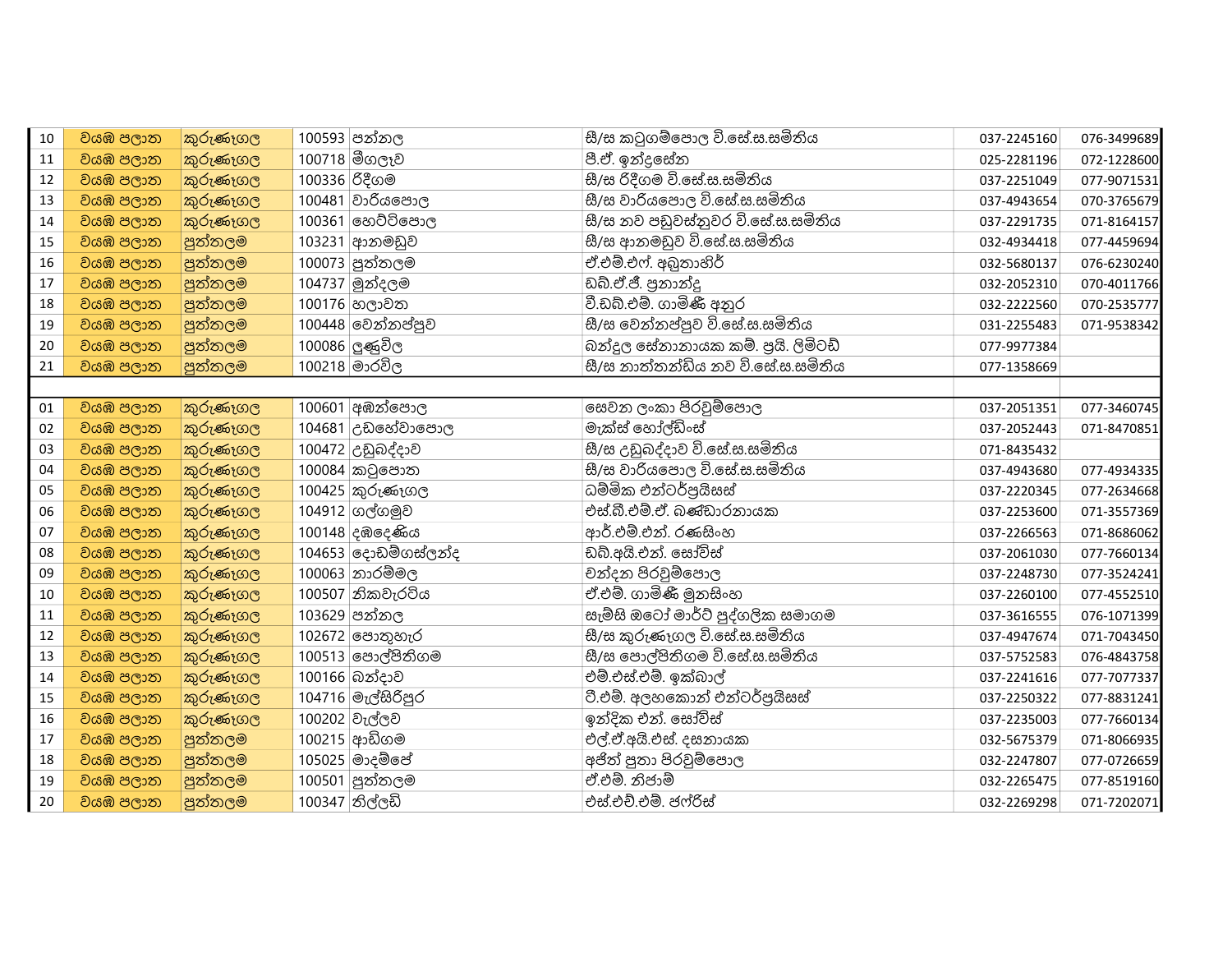| 10 | වයඹ පලාත | කුරුණෑගල |               | 100593 පන්නල        | සී/ස කටුගම්පොල වි.සේ.ස.සමිතිය      | 037-2245160 | 076-3499689 |
|----|----------|----------|---------------|---------------------|------------------------------------|-------------|-------------|
| 11 | වයඹ පලාත | කුරුණෑගල |               | 100718 මීගලෑව       | පී.ඒ. ඉන්දුසේන                     | 025-2281196 | 072-1228600 |
| 12 | වයඹ පලාත | කුරුණෑගල | 100336 රිදීගම |                     | සී/ස රිදීගම වි.සේ.ස.සමිතිය         | 037-2251049 | 077-9071531 |
| 13 | වයඹ පලාත | කුරුණෑගල |               | 100481 වාරියපොල     | සී/ස වාරියපොල වි.සේ.ස.සමිතිය       | 037-4943654 | 070-3765679 |
| 14 | වයඹ පලාත | කුරුණෑගල |               | 100361 හෙට්ටිපොල    | සී/ස තව පඩුවස්නුවර වි.සේ.ස.සමිතිය  | 037-2291735 | 071-8164157 |
| 15 | වයඹ පලාත | පුත්තලම  |               | 103231 ආනමඩුව       | සී/ස ආනමඩුව වි.සේ.ස.සමිතිය         | 032-4934418 | 077-4459694 |
| 16 | වයඹ පලාත | පුත්තලම  |               | 100073 පුත්තලම      | ඒ.එම්.එෆ්. අඛුතාහිර්               | 032-5680137 | 076-6230240 |
| 17 | වයඹ පලාත | පුත්තලම  |               | 104737 මුන්දලම      | ඩබ්.ඒ.ජී. පුනාන්දු                 | 032-2052310 | 070-4011766 |
| 18 | වයඹ පලාන | පුත්තලම  |               | 100176 හලාවත        | වී.ඩබ්.එම්. ගාමිණී අනුර            | 032-2222560 | 070-2535777 |
| 19 | වයඹ පලාත | පුත්තලම  |               | 100448 වෙන්නප්පුව   | සී/ස වෙන්නප්පුව වි.සේ.ස.සමිතිය     | 031-2255483 | 071-9538342 |
| 20 | වයඹ පලාත | පුත්තලම  |               | 100086 ලුණුවිල      | බන්දුල සේනානායක කම්. පුයි. ලිමිටඩ් | 077-9977384 |             |
| 21 | වයඹ පලාත | පුත්තලම  |               | 100218 මාරවිල       | සී/ස තාත්තන්ඩිය නව වී.සේ.ස.සමිතිය  | 077-1358669 |             |
|    |          |          |               |                     |                                    |             |             |
| 01 | වයඹ පලාත | කුරුණෑගල |               | 100601 අඹන්පොල      | සෙවන ලංකා පිරවුම්පොල               | 037-2051351 | 077-3460745 |
| 02 | වයඹ පලාත | කුරුණෑගල |               | 104681 උඩහේවාපොල    | මැක්ස් හෝල්ඩිංස්                   | 037-2052443 | 071-8470851 |
| 03 | වයඹ පලාන | කුරුණෑගල |               | 100472 උඩුබද්දාව    | සී/ස උඩුබද්දාව වි.සේ.ස.සමිතිය      | 071-8435432 |             |
| 04 | වයඹ පලාත | කුරුණෑගල |               | 100084 කටුපොත       | සී/ස වාරියපොල වි.සේ.ස.සමිතිය       | 037-4943680 | 077-4934335 |
| 05 | වයඹ පලාත | කුරුණෑගල |               | 100425 කුරුණෑගල     | ධම්මික එන්ටර්පුයිසස්               | 037-2220345 | 077-2634668 |
| 06 | වයඹ පලාත | කුරුණෑගල |               | 104912 ගල්ගමුව      | එස්.බී.එම්.ඒ. බණ්ඩාරනායක           | 037-2253600 | 071-3557369 |
| 07 | වයඹ පලාත | කුරුණෑගල |               | 100148 දඹදෙණිය      | ආර්.එම්.එන්. රණසිංහ                | 037-2266563 | 071-8686062 |
| 08 | වයඹ පලාත | කුරුණෑගල |               | 104653 දොඩම්ගස්ලන්ද | ඩබ්.අයි.එන්. සෝවිස්                | 037-2061030 | 077-7660134 |
| 09 | වයඹ පලාත | කුරුණෑගල |               | 100063 නාරම්මල      | චන්දන පිරවුම්පොල                   | 037-2248730 | 077-3524241 |
| 10 | වයඹ පලාත | කුරුණෑගල |               | 100507 නිකවැරටිය    | ඒ.එම්. ගාමිණී මූනසිංහ              | 037-2260100 | 077-4552510 |
| 11 | වයඹ පලාන | කුරුණෑගල |               | 103629 පන්නල        | සැම්සි ඔටෝ මාර්ට් පුද්ගලික සමාගම   | 037-3616555 | 076-1071399 |
| 12 | වයඹ පලාත | කුරුණෑගල |               | 102672 පොතුහැර      | සී/ස කුරුණෑගල වි.සේ.ස.සමිතිය       | 037-4947674 | 071-7043450 |
| 13 | වයඹ පලාත | කුරුණෑගල |               | 100513 පොල්පිතිගම   | සී/ස පොල්පිතිගම වි.සේ.ස.සමිතිය     | 037-5752583 | 076-4843758 |
| 14 | වයඹ පලාත | කුරුණෑගල |               | 100166 බන්දාව       | එම්.එස්.එම්. ඉක්බාල්               | 037-2241616 | 077-7077337 |
| 15 | වයඹ පලාත | කුරුණෑගල |               | 104716 මැල්සිරිපුර  | ටී.එම්. අලහකොන් එන්ටර්පුයිසස්      | 037-2250322 | 077-8831241 |
| 16 | වයඹ පලාත | කුරුණෑගල |               | 100202 වැල්ලව       | ඉන්දික එන්. සෝවිස්                 | 037-2235003 | 077-7660134 |
| 17 | වයඹ පලාත | පුත්තලම  |               | 100215 ආඩිගම        | එල්.ඒ.අයි.එස්. දසනායක              | 032-5675379 | 071-8066935 |
| 18 | වයඹ පලාත | පුත්තලම  |               | 105025 මාදම් ෙේ     | අජිත් පුතා පිරවූම්පොල              | 032-2247807 | 077-0726659 |
| 19 | වයඹ පලාත | පුත්තලම  |               | 100501 පුත්තලම      | ඒ.එම්. නිජාම්                      | 032-2265475 | 077-8519160 |
| 20 | වයඹ පලාන | පුත්තලම  |               | 100347 තිල්ලඩි      | එස්.එච්.එම්. ජෆ්රිස්               | 032-2269298 | 071-7202071 |